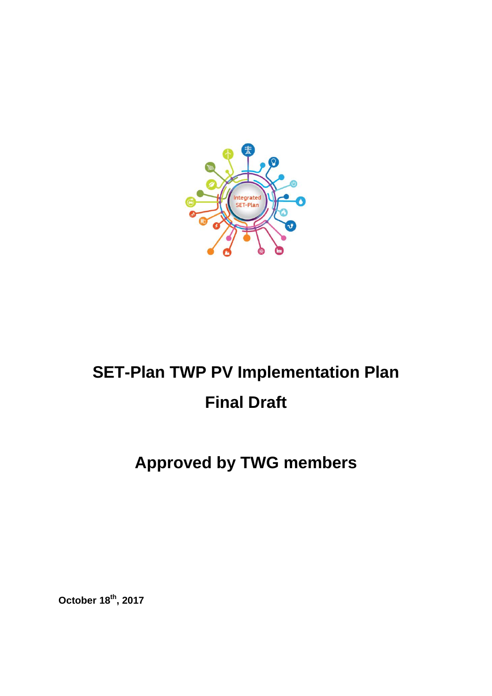

# **SET-Plan TWP PV Implementation Plan Final Draft**

# **Approved by TWG members**

**October 18th , 2017**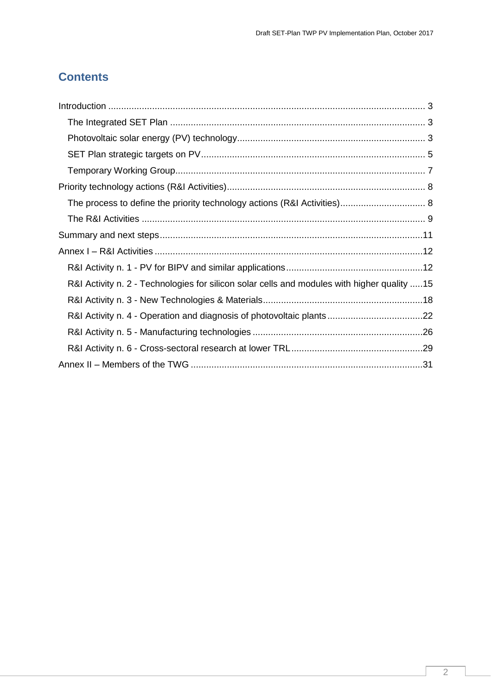## **Contents**

| R&I Activity n. 2 - Technologies for silicon solar cells and modules with higher quality 15 |  |
|---------------------------------------------------------------------------------------------|--|
|                                                                                             |  |
|                                                                                             |  |
|                                                                                             |  |
|                                                                                             |  |
|                                                                                             |  |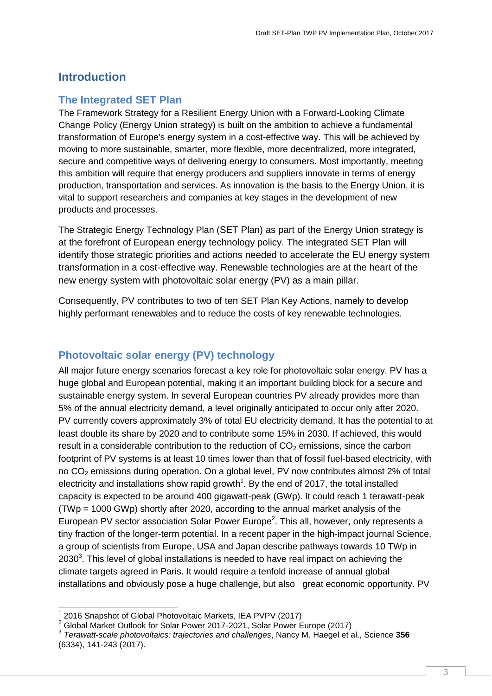### <span id="page-2-0"></span>**Introduction**

#### <span id="page-2-1"></span>**The Integrated SET Plan**

The Framework Strategy for a Resilient Energy Union with a Forward-Looking Climate Change Policy (Energy Union strategy) is built on the ambition to achieve a fundamental transformation of Europe's energy system in a cost-effective way. This will be achieved by moving to more sustainable, smarter, more flexible, more decentralized, more integrated, secure and competitive ways of delivering energy to consumers. Most importantly, meeting this ambition will require that energy producers and suppliers innovate in terms of energy production, transportation and services. As innovation is the basis to the Energy Union, it is vital to support researchers and companies at key stages in the development of new products and processes.

The Strategic Energy Technology Plan (SET Plan) as part of the Energy Union strategy is at the forefront of European energy technology policy. The integrated SET Plan will identify those strategic priorities and actions needed to accelerate the EU energy system transformation in a cost-effective way. Renewable technologies are at the heart of the new energy system with photovoltaic solar energy (PV) as a main pillar.

Consequently, PV contributes to two of ten SET Plan Key Actions, namely to develop highly performant renewables and to reduce the costs of key renewable technologies.

### <span id="page-2-2"></span>**Photovoltaic solar energy (PV) technology**

All major future energy scenarios forecast a key role for photovoltaic solar energy. PV has a huge global and European potential, making it an important building block for a secure and sustainable energy system. In several European countries PV already provides more than 5% of the annual electricity demand, a level originally anticipated to occur only after 2020. PV currently covers approximately 3% of total EU electricity demand. It has the potential to at least double its share by 2020 and to contribute some 15% in 2030. If achieved, this would result in a considerable contribution to the reduction of  $CO<sub>2</sub>$  emissions, since the carbon footprint of PV systems is at least 10 times lower than that of fossil fuel-based electricity, with no  $CO<sub>2</sub>$  emissions during operation. On a global level, PV now contributes almost 2% of total electricity and installations show rapid growth<sup>1</sup>. By the end of 2017, the total installed capacity is expected to be around 400 gigawatt-peak (GWp). It could reach 1 terawatt-peak (TWp = 1000 GWp) shortly after 2020, according to the annual market analysis of the European PV sector association Solar Power Europe<sup>2</sup>. This all, however, only represents a tiny fraction of the longer-term potential. In a recent paper in the high-impact journal Science, a group of scientists from Europe, USA and Japan describe pathways towards 10 TWp in 2030 $3$ . This level of global installations is needed to have real impact on achieving the climate targets agreed in Paris. It would require a tenfold increase of annual global installations and obviously pose a huge challenge, but also great economic opportunity. PV

 $\overline{1}$ 

<sup>&</sup>lt;sup>1</sup> 2016 Snapshot of Global Photovoltaic Markets, IEA PVPV (2017)

<sup>2</sup> Global Market Outlook for Solar Power 2017-2021, Solar Power Europe (2017)

<sup>3</sup> *Terawatt-scale photovoltaics: trajectories and challenges*, Nancy M. Haegel et al., Science **356** (6334), 141-243 (2017).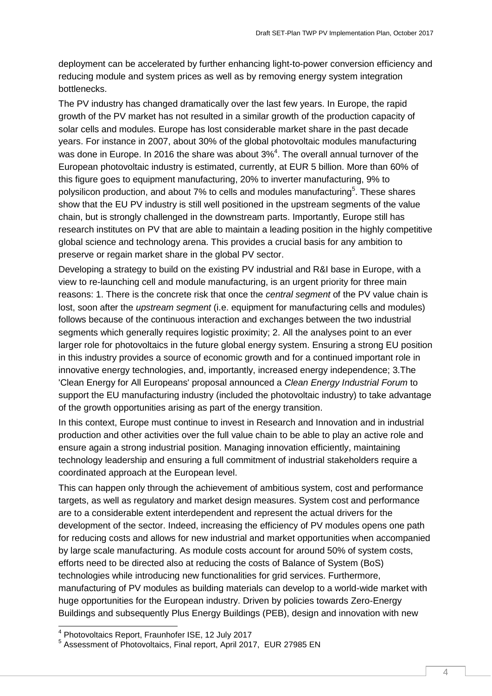deployment can be accelerated by further enhancing light-to-power conversion efficiency and reducing module and system prices as well as by removing energy system integration bottlenecks.

The PV industry has changed dramatically over the last few years. In Europe, the rapid growth of the PV market has not resulted in a similar growth of the production capacity of solar cells and modules. Europe has lost considerable market share in the past decade years. For instance in 2007, about 30% of the global photovoltaic modules manufacturing was done in Europe. In 2016 the share was about  $3\% ^{4}$ . The overall annual turnover of the European photovoltaic industry is estimated, currently, at EUR 5 billion. More than 60% of this figure goes to equipment manufacturing, 20% to inverter manufacturing, 9% to polysilicon production, and about 7% to cells and modules manufacturing<sup>5</sup>. These shares show that the EU PV industry is still well positioned in the upstream segments of the value chain, but is strongly challenged in the downstream parts. Importantly, Europe still has research institutes on PV that are able to maintain a leading position in the highly competitive global science and technology arena. This provides a crucial basis for any ambition to preserve or regain market share in the global PV sector.

Developing a strategy to build on the existing PV industrial and R&I base in Europe, with a view to re-launching cell and module manufacturing, is an urgent priority for three main reasons: 1. There is the concrete risk that once the *central segment* of the PV value chain is lost, soon after the *upstream segment* (i.e. equipment for manufacturing cells and modules) follows because of the continuous interaction and exchanges between the two industrial segments which generally requires logistic proximity; 2. All the analyses point to an ever larger role for photovoltaics in the future global energy system. Ensuring a strong EU position in this industry provides a source of economic growth and for a continued important role in innovative energy technologies, and, importantly, increased energy independence; 3.The 'Clean Energy for All Europeans' proposal announced a *Clean Energy Industrial Forum* to support the EU manufacturing industry (included the photovoltaic industry) to take advantage of the growth opportunities arising as part of the energy transition.

In this context, Europe must continue to invest in Research and Innovation and in industrial production and other activities over the full value chain to be able to play an active role and ensure again a strong industrial position. Managing innovation efficiently, maintaining technology leadership and ensuring a full commitment of industrial stakeholders require a coordinated approach at the European level.

This can happen only through the achievement of ambitious system, cost and performance targets, as well as regulatory and market design measures. System cost and performance are to a considerable extent interdependent and represent the actual drivers for the development of the sector. Indeed, increasing the efficiency of PV modules opens one path for reducing costs and allows for new industrial and market opportunities when accompanied by large scale manufacturing. As module costs account for around 50% of system costs, efforts need to be directed also at reducing the costs of Balance of System (BoS) technologies while introducing new functionalities for grid services. Furthermore, manufacturing of PV modules as building materials can develop to a world-wide market with huge opportunities for the European industry. Driven by policies towards Zero-Energy Buildings and subsequently Plus Energy Buildings (PEB), design and innovation with new

 4 Photovoltaics Report, Fraunhofer ISE, 12 July 2017

<sup>&</sup>lt;sup>5</sup> Assessment of Photovoltaics, Final report, April 2017, EUR 27985 EN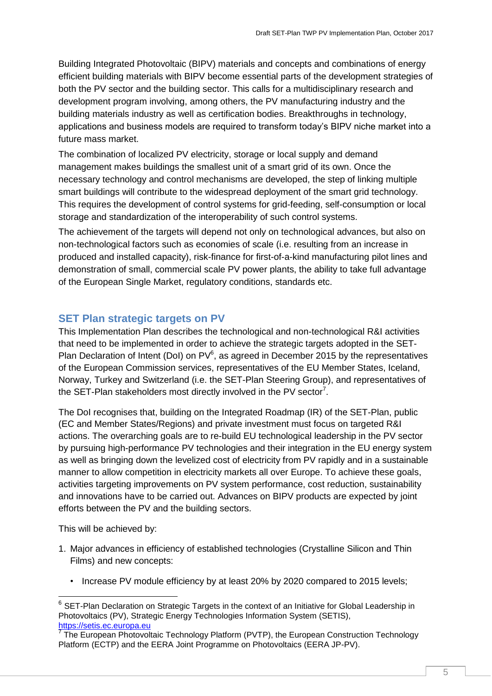Building Integrated Photovoltaic (BIPV) materials and concepts and combinations of energy efficient building materials with BIPV become essential parts of the development strategies of both the PV sector and the building sector. This calls for a multidisciplinary research and development program involving, among others, the PV manufacturing industry and the building materials industry as well as certification bodies. Breakthroughs in technology, applications and business models are required to transform today's BIPV niche market into a future mass market.

The combination of localized PV electricity, storage or local supply and demand management makes buildings the smallest unit of a smart grid of its own. Once the necessary technology and control mechanisms are developed, the step of linking multiple smart buildings will contribute to the widespread deployment of the smart grid technology. This requires the development of control systems for grid-feeding, self-consumption or local storage and standardization of the interoperability of such control systems.

The achievement of the targets will depend not only on technological advances, but also on non-technological factors such as economies of scale (i.e. resulting from an increase in produced and installed capacity), risk-finance for first-of-a-kind manufacturing pilot lines and demonstration of small, commercial scale PV power plants, the ability to take full advantage of the European Single Market, regulatory conditions, standards etc.

#### <span id="page-4-0"></span>**SET Plan strategic targets on PV**

This Implementation Plan describes the technological and non-technological R&I activities that need to be implemented in order to achieve the strategic targets adopted in the SET-Plan Declaration of Intent (DoI) on  $PV^6$ , as agreed in December 2015 by the representatives of the European Commission services, representatives of the EU Member States, Iceland, Norway, Turkey and Switzerland (i.e. the SET-Plan Steering Group), and representatives of the SET-Plan stakeholders most directly involved in the PV sector<sup>7</sup>.

The DoI recognises that, building on the Integrated Roadmap (IR) of the SET-Plan, public (EC and Member States/Regions) and private investment must focus on targeted R&I actions. The overarching goals are to re-build EU technological leadership in the PV sector by pursuing high-performance PV technologies and their integration in the EU energy system as well as bringing down the levelized cost of electricity from PV rapidly and in a sustainable manner to allow competition in electricity markets all over Europe. To achieve these goals, activities targeting improvements on PV system performance, cost reduction, sustainability and innovations have to be carried out. Advances on BIPV products are expected by joint efforts between the PV and the building sectors.

This will be achieved by:

1

- 1. Major advances in efficiency of established technologies (Crystalline Silicon and Thin Films) and new concepts:
	- Increase PV module efficiency by at least 20% by 2020 compared to 2015 levels;

 $^6$  SET-Plan Declaration on Strategic Targets in the context of an Initiative for Global Leadership in Photovoltaics (PV), Strategic Energy Technologies Information System (SETIS),

<sup>&</sup>lt;u>[https://setis.ec.europa.eu](https://setis.ec.europa.eu/)</u><br><sup>7</sup> The European Photovoltaic Technology Platform (PVTP), the European Construction Technology Platform (ECTP) and the EERA Joint Programme on Photovoltaics (EERA JP-PV).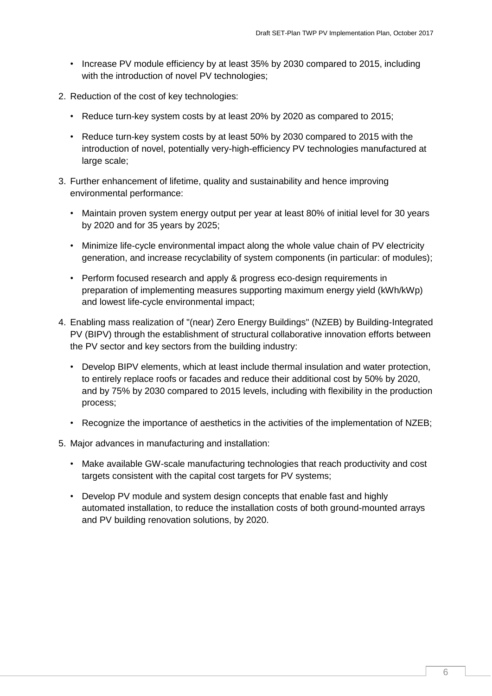- Increase PV module efficiency by at least 35% by 2030 compared to 2015, including with the introduction of novel PV technologies;
- 2. Reduction of the cost of key technologies:
	- Reduce turn-key system costs by at least 20% by 2020 as compared to 2015;
	- Reduce turn-key system costs by at least 50% by 2030 compared to 2015 with the introduction of novel, potentially very-high-efficiency PV technologies manufactured at large scale;
- 3. Further enhancement of lifetime, quality and sustainability and hence improving environmental performance:
	- Maintain proven system energy output per year at least 80% of initial level for 30 years by 2020 and for 35 years by 2025;
	- Minimize life-cycle environmental impact along the whole value chain of PV electricity generation, and increase recyclability of system components (in particular: of modules);
	- Perform focused research and apply & progress eco-design requirements in preparation of implementing measures supporting maximum energy yield (kWh/kWp) and lowest life-cycle environmental impact;
- 4. Enabling mass realization of "(near) Zero Energy Buildings" (NZEB) by Building-Integrated PV (BIPV) through the establishment of structural collaborative innovation efforts between the PV sector and key sectors from the building industry:
	- Develop BIPV elements, which at least include thermal insulation and water protection, to entirely replace roofs or facades and reduce their additional cost by 50% by 2020, and by 75% by 2030 compared to 2015 levels, including with flexibility in the production process;
	- Recognize the importance of aesthetics in the activities of the implementation of NZEB;
- 5. Major advances in manufacturing and installation:
	- Make available GW-scale manufacturing technologies that reach productivity and cost targets consistent with the capital cost targets for PV systems;
	- Develop PV module and system design concepts that enable fast and highly automated installation, to reduce the installation costs of both ground-mounted arrays and PV building renovation solutions, by 2020.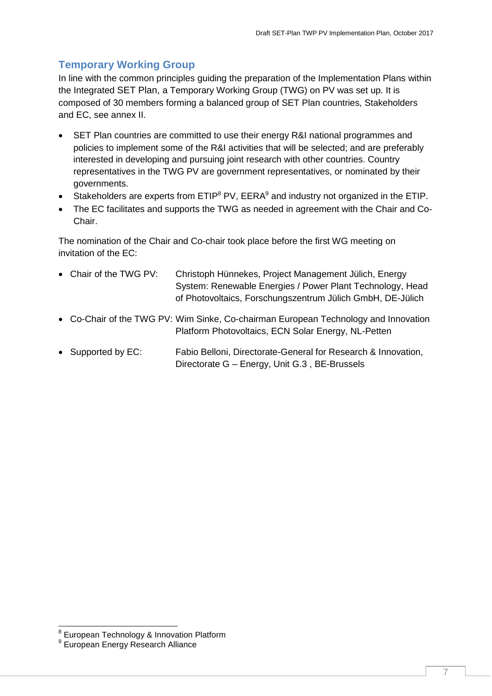## <span id="page-6-0"></span>**Temporary Working Group**

In line with the common principles guiding the preparation of the Implementation Plans within the Integrated SET Plan, a Temporary Working Group (TWG) on PV was set up. It is composed of 30 members forming a balanced group of SET Plan countries, Stakeholders and EC, see annex II.

- SET Plan countries are committed to use their energy R&I national programmes and policies to implement some of the R&I activities that will be selected; and are preferably interested in developing and pursuing joint research with other countries. Country representatives in the TWG PV are government representatives, or nominated by their governments.
- Stakeholders are experts from  $ETIP^8$  PV,  $EERA^9$  and industry not organized in the ETIP.
- The EC facilitates and supports the TWG as needed in agreement with the Chair and Co-Chair.

The nomination of the Chair and Co-chair took place before the first WG meeting on invitation of the EC:

- Chair of the TWG PV: Christoph Hünnekes, Project Management Jülich, Energy System: Renewable Energies / Power Plant Technology, Head of Photovoltaics, Forschungszentrum Jülich GmbH, DE-Jülich
- Co-Chair of the TWG PV: Wim Sinke, Co-chairman European Technology and Innovation Platform Photovoltaics, ECN Solar Energy, NL-Petten
- Supported by EC: Fabio Belloni, Directorate-General for Research & Innovation, Directorate G – Energy, Unit G.3 , BE-Brussels

 8 European Technology & Innovation Platform

<sup>9</sup> European Energy Research Alliance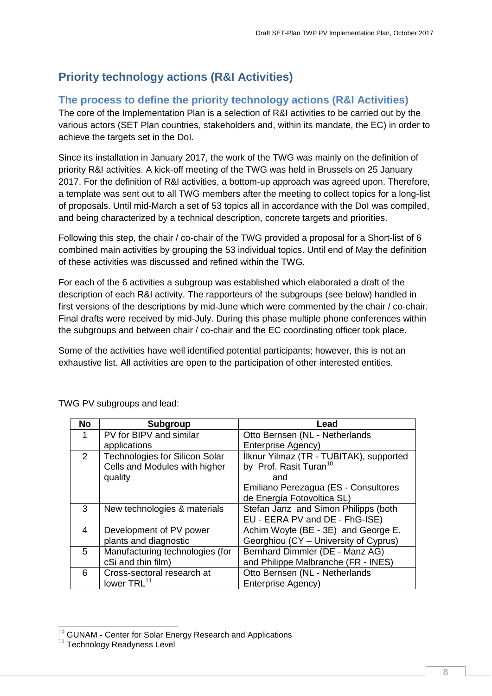# <span id="page-7-0"></span>**Priority technology actions (R&I Activities)**

### <span id="page-7-1"></span>**The process to define the priority technology actions (R&I Activities)**

The core of the Implementation Plan is a selection of R&I activities to be carried out by the various actors (SET Plan countries, stakeholders and, within its mandate, the EC) in order to achieve the targets set in the DoI.

Since its installation in January 2017, the work of the TWG was mainly on the definition of priority R&I activities. A kick-off meeting of the TWG was held in Brussels on 25 January 2017. For the definition of R&I activities, a bottom-up approach was agreed upon. Therefore, a template was sent out to all TWG members after the meeting to collect topics for a long-list of proposals. Until mid-March a set of 53 topics all in accordance with the DoI was compiled, and being characterized by a technical description, concrete targets and priorities.

Following this step, the chair / co-chair of the TWG provided a proposal for a Short-list of 6 combined main activities by grouping the 53 individual topics. Until end of May the definition of these activities was discussed and refined within the TWG.

For each of the 6 activities a subgroup was established which elaborated a draft of the description of each R&I activity. The rapporteurs of the subgroups (see below) handled in first versions of the descriptions by mid-June which were commented by the chair / co-chair. Final drafts were received by mid-July. During this phase multiple phone conferences within the subgroups and between chair / co-chair and the EC coordinating officer took place.

Some of the activities have well identified potential participants; however, this is not an exhaustive list. All activities are open to the participation of other interested entities.

| <b>No</b> | <b>Subgroup</b>                       | Lead                                    |
|-----------|---------------------------------------|-----------------------------------------|
| 1         | PV for BIPV and similar               | Otto Bernsen (NL - Netherlands          |
|           | applications                          | Enterprise Agency)                      |
| 2         | <b>Technologies for Silicon Solar</b> | Ilknur Yilmaz (TR - TUBITAK), supported |
|           | Cells and Modules with higher         | by Prof. Rasit Turan <sup>10</sup>      |
|           | quality                               | and                                     |
|           |                                       | Emiliano Perezagua (ES - Consultores    |
|           |                                       | de Energía Fotovoltica SL)              |
| 3         | New technologies & materials          | Stefan Janz and Simon Philipps (both    |
|           |                                       | EU - EERA PV and DE - FhG-ISE)          |
| 4         | Development of PV power               | Achim Woyte (BE - 3E) and George E.     |
|           | plants and diagnostic                 | Georghiou (CY - University of Cyprus)   |
| 5         | Manufacturing technologies (for       | Bernhard Dimmler (DE - Manz AG)         |
|           | cSi and thin film)                    | and Philippe Malbranche (FR - INES)     |
| 6         | Cross-sectoral research at            | Otto Bernsen (NL - Netherlands          |
|           | lower TRL <sup>11</sup>               | <b>Enterprise Agency)</b>               |

TWG PV subgroups and lead:

1

<sup>&</sup>lt;sup>10</sup> GUNAM - Center for Solar Energy Research and Applications

<sup>&</sup>lt;sup>11</sup> Technology Readyness Level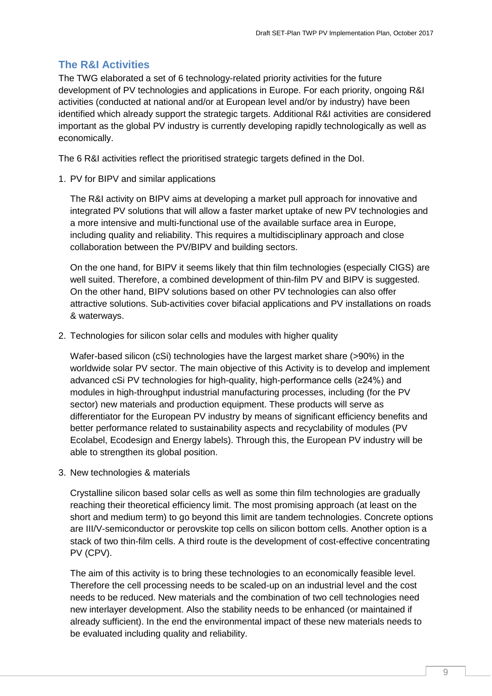#### <span id="page-8-0"></span>**The R&I Activities**

The TWG elaborated a set of 6 technology-related priority activities for the future development of PV technologies and applications in Europe. For each priority, ongoing R&I activities (conducted at national and/or at European level and/or by industry) have been identified which already support the strategic targets. Additional R&I activities are considered important as the global PV industry is currently developing rapidly technologically as well as economically.

The 6 R&I activities reflect the prioritised strategic targets defined in the DoI.

1. PV for BIPV and similar applications

The R&I activity on BIPV aims at developing a market pull approach for innovative and integrated PV solutions that will allow a faster market uptake of new PV technologies and a more intensive and multi-functional use of the available surface area in Europe, including quality and reliability. This requires a multidisciplinary approach and close collaboration between the PV/BIPV and building sectors.

On the one hand, for BIPV it seems likely that thin film technologies (especially CIGS) are well suited. Therefore, a combined development of thin-film PV and BIPV is suggested. On the other hand, BIPV solutions based on other PV technologies can also offer attractive solutions. Sub-activities cover bifacial applications and PV installations on roads & waterways.

2. Technologies for silicon solar cells and modules with higher quality

Wafer-based silicon (cSi) technologies have the largest market share (>90%) in the worldwide solar PV sector. The main objective of this Activity is to develop and implement advanced cSi PV technologies for high-quality, high-performance cells (≥24%) and modules in high-throughput industrial manufacturing processes, including (for the PV sector) new materials and production equipment. These products will serve as differentiator for the European PV industry by means of significant efficiency benefits and better performance related to sustainability aspects and recyclability of modules (PV Ecolabel, Ecodesign and Energy labels). Through this, the European PV industry will be able to strengthen its global position.

3. New technologies & materials

Crystalline silicon based solar cells as well as some thin film technologies are gradually reaching their theoretical efficiency limit. The most promising approach (at least on the short and medium term) to go beyond this limit are tandem technologies. Concrete options are III/V-semiconductor or perovskite top cells on silicon bottom cells. Another option is a stack of two thin-film cells. A third route is the development of cost-effective concentrating PV (CPV).

The aim of this activity is to bring these technologies to an economically feasible level. Therefore the cell processing needs to be scaled-up on an industrial level and the cost needs to be reduced. New materials and the combination of two cell technologies need new interlayer development. Also the stability needs to be enhanced (or maintained if already sufficient). In the end the environmental impact of these new materials needs to be evaluated including quality and reliability.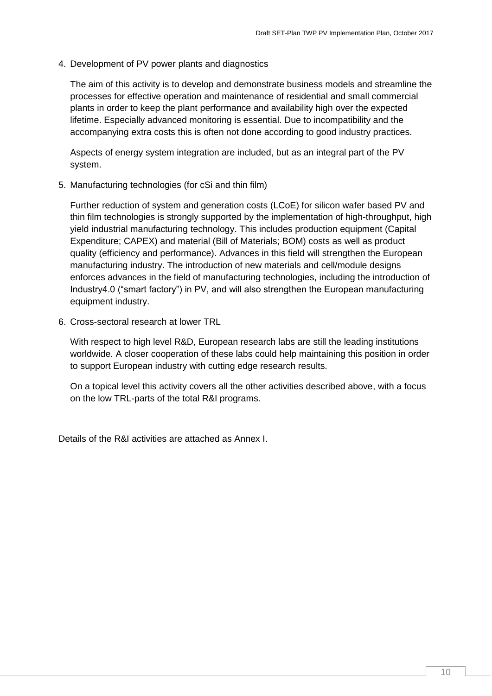4. Development of PV power plants and diagnostics

The aim of this activity is to develop and demonstrate business models and streamline the processes for effective operation and maintenance of residential and small commercial plants in order to keep the plant performance and availability high over the expected lifetime. Especially advanced monitoring is essential. Due to incompatibility and the accompanying extra costs this is often not done according to good industry practices.

Aspects of energy system integration are included, but as an integral part of the PV system.

5. Manufacturing technologies (for cSi and thin film)

Further reduction of system and generation costs (LCoE) for silicon wafer based PV and thin film technologies is strongly supported by the implementation of high-throughput, high yield industrial manufacturing technology. This includes production equipment (Capital Expenditure; CAPEX) and material (Bill of Materials; BOM) costs as well as product quality (efficiency and performance). Advances in this field will strengthen the European manufacturing industry. The introduction of new materials and cell/module designs enforces advances in the field of manufacturing technologies, including the introduction of Industry4.0 ("smart factory") in PV, and will also strengthen the European manufacturing equipment industry.

6. Cross-sectoral research at lower TRL

With respect to high level R&D, European research labs are still the leading institutions worldwide. A closer cooperation of these labs could help maintaining this position in order to support European industry with cutting edge research results.

On a topical level this activity covers all the other activities described above, with a focus on the low TRL-parts of the total R&I programs.

Details of the R&I activities are attached as Annex I.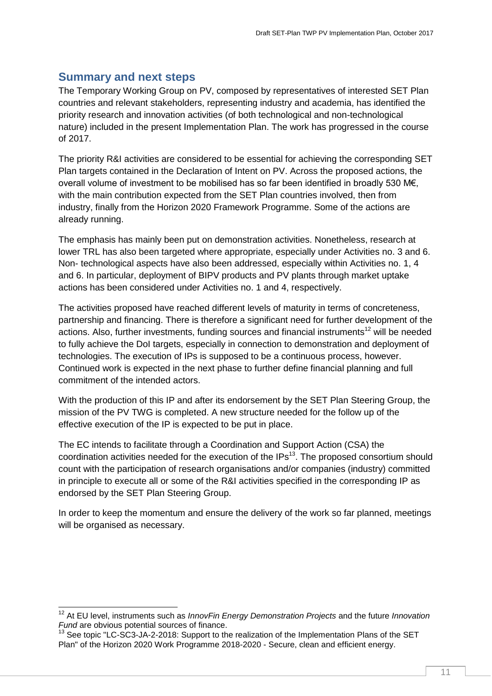## <span id="page-10-0"></span>**Summary and next steps**

 $\overline{1}$ 

The Temporary Working Group on PV, composed by representatives of interested SET Plan countries and relevant stakeholders, representing industry and academia, has identified the priority research and innovation activities (of both technological and non-technological nature) included in the present Implementation Plan. The work has progressed in the course of 2017.

The priority R&I activities are considered to be essential for achieving the corresponding SET Plan targets contained in the Declaration of Intent on PV. Across the proposed actions, the overall volume of investment to be mobilised has so far been identified in broadly 530 M€, with the main contribution expected from the SET Plan countries involved, then from industry, finally from the Horizon 2020 Framework Programme. Some of the actions are already running.

The emphasis has mainly been put on demonstration activities. Nonetheless, research at lower TRL has also been targeted where appropriate, especially under Activities no. 3 and 6. Non- technological aspects have also been addressed, especially within Activities no. 1, 4 and 6. In particular, deployment of BIPV products and PV plants through market uptake actions has been considered under Activities no. 1 and 4, respectively.

The activities proposed have reached different levels of maturity in terms of concreteness, partnership and financing. There is therefore a significant need for further development of the actions. Also, further investments, funding sources and financial instruments<sup>12</sup> will be needed to fully achieve the DoI targets, especially in connection to demonstration and deployment of technologies. The execution of IPs is supposed to be a continuous process, however. Continued work is expected in the next phase to further define financial planning and full commitment of the intended actors.

With the production of this IP and after its endorsement by the SET Plan Steering Group, the mission of the PV TWG is completed. A new structure needed for the follow up of the effective execution of the IP is expected to be put in place.

The EC intends to facilitate through a Coordination and Support Action (CSA) the coordination activities needed for the execution of the IPs<sup>13</sup>. The proposed consortium should count with the participation of research organisations and/or companies (industry) committed in principle to execute all or some of the R&I activities specified in the corresponding IP as endorsed by the SET Plan Steering Group.

In order to keep the momentum and ensure the delivery of the work so far planned, meetings will be organised as necessary.

<sup>12</sup> At EU level, instruments such as *InnovFin Energy Demonstration Projects* and the future *Innovation Fund* are obvious potential sources of finance.

 $13$  See topic "LC-SC3-JA-2-2018: Support to the realization of the Implementation Plans of the SET Plan" of the Horizon 2020 Work Programme 2018-2020 - Secure, clean and efficient energy.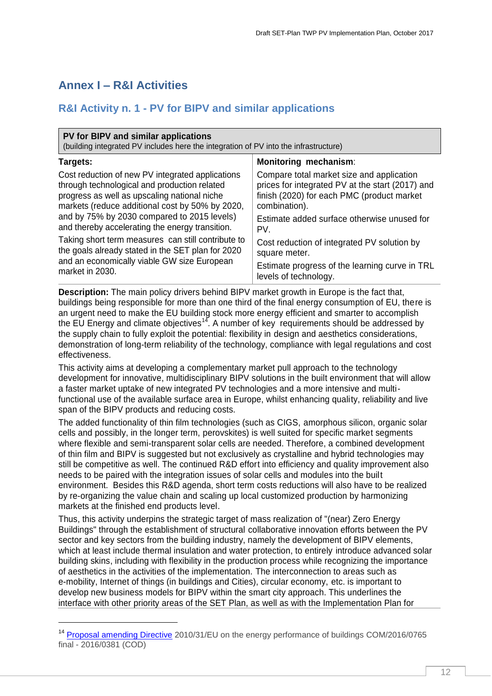# <span id="page-11-0"></span>**Annex I – R&I Activities**

1

## <span id="page-11-1"></span>**R&I Activity n. 1 - PV for BIPV and similar applications**

| PV for BIPV and similar applications<br>(building integrated PV includes here the integration of PV into the infrastructure) |                                                  |  |  |  |
|------------------------------------------------------------------------------------------------------------------------------|--------------------------------------------------|--|--|--|
| Monitoring mechanism:<br>Targets:                                                                                            |                                                  |  |  |  |
| Cost reduction of new PV integrated applications                                                                             | Compare total market size and application        |  |  |  |
| through technological and production related                                                                                 | prices for integrated PV at the start (2017) and |  |  |  |
| progress as well as upscaling national niche                                                                                 | finish (2020) for each PMC (product market       |  |  |  |
| markets (reduce additional cost by 50% by 2020,                                                                              | combination).                                    |  |  |  |
| and by 75% by 2030 compared to 2015 levels)                                                                                  | Estimate added surface otherwise unused for      |  |  |  |
| and thereby accelerating the energy transition.                                                                              | PV.                                              |  |  |  |
| Taking short term measures can still contribute to                                                                           | Cost reduction of integrated PV solution by      |  |  |  |
| the goals already stated in the SET plan for 2020                                                                            | square meter.                                    |  |  |  |
| and an economically viable GW size European                                                                                  | Estimate progress of the learning curve in TRL   |  |  |  |
| market in 2030.                                                                                                              | levels of technology.                            |  |  |  |

**Description:** The main policy drivers behind BIPV market growth in Europe is the fact that, buildings being responsible for more than one third of the final energy consumption of EU, there is an urgent need to make the EU building stock more energy efficient and smarter to accomplish the EU Energy and climate objectives<sup>14</sup>. A number of key requirements should be addressed by the supply chain to fully exploit the potential: flexibility in design and aesthetics considerations, demonstration of long-term reliability of the technology, compliance with legal regulations and cost effectiveness.

This activity aims at developing a complementary market pull approach to the technology development for innovative, multidisciplinary BIPV solutions in the built environment that will allow a faster market uptake of new integrated PV technologies and a more intensive and multifunctional use of the available surface area in Europe, whilst enhancing quality, reliability and live span of the BIPV products and reducing costs.

The added functionality of thin film technologies (such as CIGS, amorphous silicon, organic solar cells and possibly, in the longer term, perovskites) is well suited for specific market segments where flexible and semi-transparent solar cells are needed. Therefore, a combined development of thin film and BIPV is suggested but not exclusively as crystalline and hybrid technologies may still be competitive as well. The continued R&D effort into efficiency and quality improvement also needs to be paired with the integration issues of solar cells and modules into the built environment. Besides this R&D agenda, short term costs reductions will also have to be realized by re-organizing the value chain and scaling up local customized production by harmonizing markets at the finished end products level.

Thus, this activity underpins the strategic target of mass realization of "(near) Zero Energy Buildings" through the establishment of structural collaborative innovation efforts between the PV sector and key sectors from the building industry, namely the development of BIPV elements, which at least include thermal insulation and water protection, to entirely introduce advanced solar building skins, including with flexibility in the production process while recognizing the importance of aesthetics in the activities of the implementation. The interconnection to areas such as e-mobility, Internet of things (in buildings and Cities), circular economy, etc. is important to develop new business models for BIPV within the smart city approach. This underlines the interface with other priority areas of the SET Plan, as well as with the Implementation Plan for

<sup>&</sup>lt;sup>14</sup> [Proposal amending Directive](http://eur-lex.europa.eu/legal-content/EN/TXT/?qid=1490877208700&uri=CELEX:52016PC0765) 2010/31/EU on the energy performance of buildings COM/2016/0765 final - 2016/0381 (COD)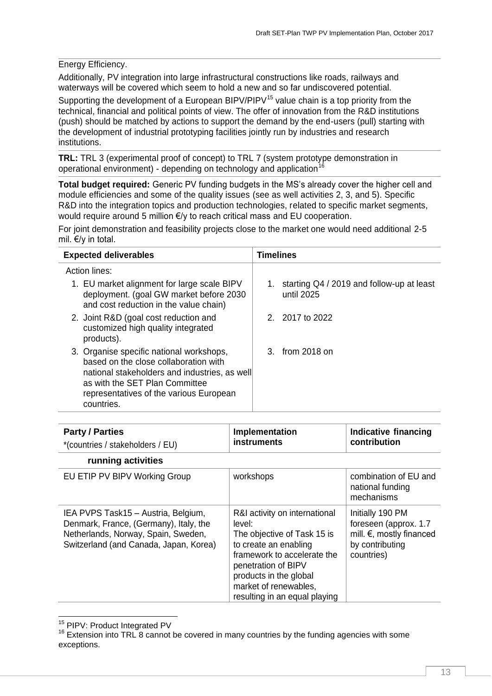#### Energy Efficiency.

Additionally, PV integration into large infrastructural constructions like roads, railways and waterways will be covered which seem to hold a new and so far undiscovered potential.

Supporting the development of a European BIPV/PIPV<sup>15</sup> value chain is a top priority from the technical, financial and political points of view. The offer of innovation from the R&D institutions (push) should be matched by actions to support the demand by the end-users (pull) starting with the development of industrial prototyping facilities jointly run by industries and research institutions.

**TRL:** TRL 3 (experimental proof of concept) to TRL 7 (system prototype demonstration in operational environment) - depending on technology and application<sup>16</sup>

**Total budget required:** Generic PV funding budgets in the MS's already cover the higher cell and module efficiencies and some of the quality issues (see as well activities 2, 3, and 5). Specific R&D into the integration topics and production technologies, related to specific market segments, would require around 5 million €/y to reach critical mass and EU cooperation.

For joint demonstration and feasibility projects close to the market one would need additional 2-5 mil. €/y in total.

| <b>Expected deliverables</b>                                                                                                                                                                                                  | <b>Timelines</b>                                           |
|-------------------------------------------------------------------------------------------------------------------------------------------------------------------------------------------------------------------------------|------------------------------------------------------------|
| Action lines:                                                                                                                                                                                                                 |                                                            |
| 1. EU market alignment for large scale BIPV<br>deployment. (goal GW market before 2030<br>and cost reduction in the value chain)                                                                                              | 1. starting Q4 / 2019 and follow-up at least<br>until 2025 |
| 2. Joint R&D (goal cost reduction and<br>customized high quality integrated<br>products).                                                                                                                                     | 2. 2017 to 2022                                            |
| 3. Organise specific national workshops,<br>based on the close collaboration with<br>national stakeholders and industries, as well<br>as with the SET Plan Committee<br>representatives of the various European<br>countries. | 3. from 2018 on                                            |

| <b>Party / Parties</b><br>*(countries / stakeholders / EU)                                                                                                     | Implementation<br><b>instruments</b>                                                                                                                                                                                                      | Indicative financing<br>contribution                                                                             |
|----------------------------------------------------------------------------------------------------------------------------------------------------------------|-------------------------------------------------------------------------------------------------------------------------------------------------------------------------------------------------------------------------------------------|------------------------------------------------------------------------------------------------------------------|
| running activities                                                                                                                                             |                                                                                                                                                                                                                                           |                                                                                                                  |
| EU ETIP PV BIPV Working Group                                                                                                                                  | workshops                                                                                                                                                                                                                                 | combination of EU and<br>national funding<br>mechanisms                                                          |
| IEA PVPS Task15 - Austria, Belgium,<br>Denmark, France, (Germany), Italy, the<br>Netherlands, Norway, Spain, Sweden,<br>Switzerland (and Canada, Japan, Korea) | R&I activity on international<br>level:<br>The objective of Task 15 is<br>to create an enabling<br>framework to accelerate the<br>penetration of BIPV<br>products in the global<br>market of renewables,<br>resulting in an equal playing | Initially 190 PM<br>foreseen (approx. 1.7<br>mill. $\epsilon$ , mostly financed<br>by contributing<br>countries) |

1 <sup>15</sup> PIPV: Product Integrated PV

<sup>&</sup>lt;sup>16</sup> Extension into TRL 8 cannot be covered in many countries by the funding agencies with some exceptions.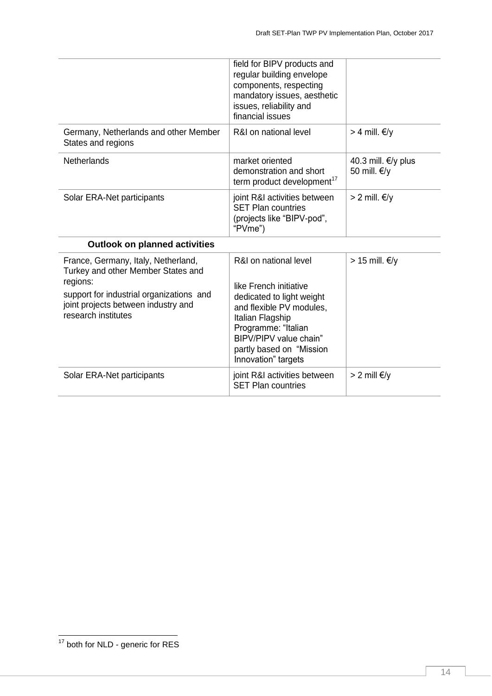|                                                                                                                                                                                                 | field for BIPV products and<br>regular building envelope<br>components, respecting<br>mandatory issues, aesthetic<br>issues, reliability and<br>financial issues                                                                 |                                       |
|-------------------------------------------------------------------------------------------------------------------------------------------------------------------------------------------------|----------------------------------------------------------------------------------------------------------------------------------------------------------------------------------------------------------------------------------|---------------------------------------|
| Germany, Netherlands and other Member<br>States and regions                                                                                                                                     | R&I on national level                                                                                                                                                                                                            | > 4 mill. $€/γ$                       |
| <b>Netherlands</b>                                                                                                                                                                              | market oriented<br>demonstration and short<br>term product development <sup>17</sup>                                                                                                                                             | 40.3 mill. €/y plus<br>50 mill. $€/γ$ |
| Solar ERA-Net participants                                                                                                                                                                      | joint R&I activities between<br><b>SET Plan countries</b><br>(projects like "BIPV-pod",<br>"PVme")                                                                                                                               | > 2 mill. $€/γ$                       |
| <b>Outlook on planned activities</b>                                                                                                                                                            |                                                                                                                                                                                                                                  |                                       |
| France, Germany, Italy, Netherland,<br>Turkey and other Member States and<br>regions:<br>support for industrial organizations and<br>joint projects between industry and<br>research institutes | R&I on national level<br>like French initiative<br>dedicated to light weight<br>and flexible PV modules,<br>Italian Flagship<br>Programme: "Italian<br>BIPV/PIPV value chain"<br>partly based on "Mission<br>Innovation" targets | > 15 mill. $€/γ$                      |
| Solar ERA-Net participants                                                                                                                                                                      | joint R&I activities between<br><b>SET Plan countries</b>                                                                                                                                                                        | > 2 mill €/y                          |

<sup>-</sup> $17$  both for NLD - generic for RES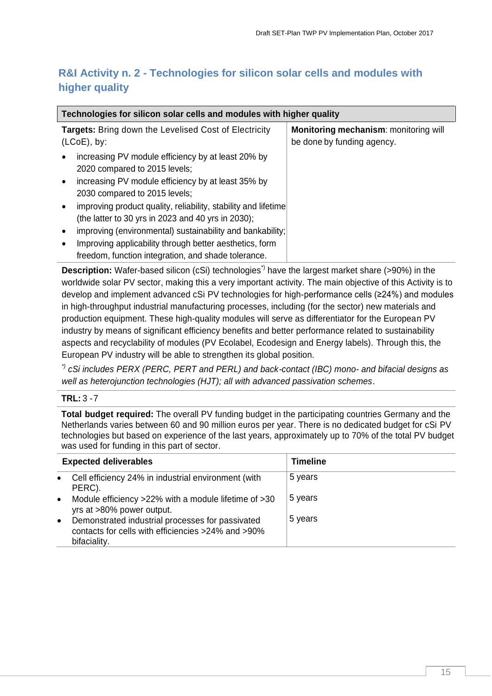## <span id="page-14-0"></span>**R&I Activity n. 2 - Technologies for silicon solar cells and modules with higher quality**

| Technologies for silicon solar cells and modules with higher quality                                                                                   |                                              |  |
|--------------------------------------------------------------------------------------------------------------------------------------------------------|----------------------------------------------|--|
| <b>Targets:</b> Bring down the Levelised Cost of Electricity                                                                                           | <b>Monitoring mechanism: monitoring will</b> |  |
| $(LOoE)$ , by:                                                                                                                                         | be done by funding agency.                   |  |
| increasing PV module efficiency by at least 20% by<br>2020 compared to 2015 levels;<br>increasing PV module efficiency by at least 35% by<br>$\bullet$ |                                              |  |
| 2030 compared to 2015 levels;<br>improving product quality, reliability, stability and lifetime<br>(the latter to 30 yrs in 2023 and 40 yrs in 2030);  |                                              |  |
| improving (environmental) sustainability and bankability;<br>$\bullet$                                                                                 |                                              |  |
| Improving applicability through better aesthetics, form<br>freedom, function integration, and shade tolerance.                                         |                                              |  |

**Description:** Wafer-based silicon (cSi) technologies<sup>\*)</sup> have the largest market share (>90%) in the worldwide solar PV sector, making this a very important activity. The main objective of this Activity is to develop and implement advanced cSi PV technologies for high-performance cells (≥24%) and modules in high-throughput industrial manufacturing processes, including (for the sector) new materials and production equipment. These high-quality modules will serve as differentiator for the European PV industry by means of significant efficiency benefits and better performance related to sustainability aspects and recyclability of modules (PV Ecolabel, Ecodesign and Energy labels). Through this, the European PV industry will be able to strengthen its global position.

*\*) cSi includes PERX (PERC, PERT and PERL) and back-contact (IBC) mono- and bifacial designs as well as heterojunction technologies (HJT); all with advanced passivation schemes.* 

#### **TRL:** 3 -7

**Total budget required:** The overall PV funding budget in the participating countries Germany and the Netherlands varies between 60 and 90 million euros per year. There is no dedicated budget for cSi PV technologies but based on experience of the last years, approximately up to 70% of the total PV budget was used for funding in this part of sector.

| <b>Expected deliverables</b> |                                                                                                                        | <b>Timeline</b> |
|------------------------------|------------------------------------------------------------------------------------------------------------------------|-----------------|
| $\bullet$                    | Cell efficiency 24% in industrial environment (with<br>PERC).                                                          | 5 years         |
| $\bullet$                    | Module efficiency >22% with a module lifetime of >30<br>yrs at >80% power output.                                      | 5 years         |
| $\bullet$                    | Demonstrated industrial processes for passivated<br>contacts for cells with efficiencies >24% and >90%<br>bifaciality. | 5 years         |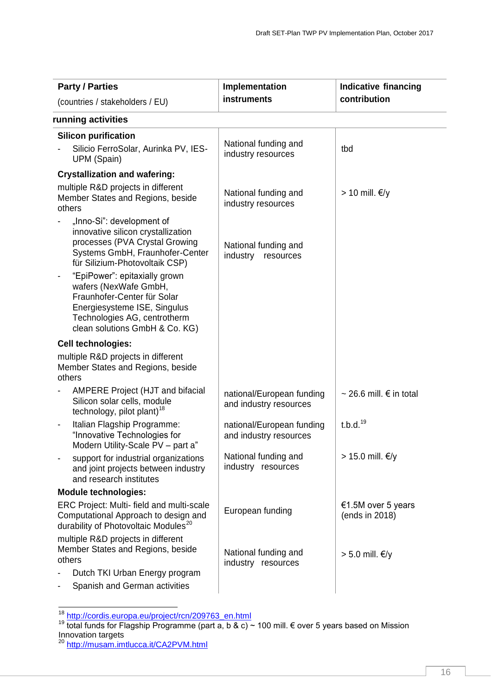| <b>Party / Parties</b>                                                                                                                                                                  | Implementation                                      | <b>Indicative financing</b>          |
|-----------------------------------------------------------------------------------------------------------------------------------------------------------------------------------------|-----------------------------------------------------|--------------------------------------|
| (countries / stakeholders / EU)                                                                                                                                                         | instruments                                         | contribution                         |
| running activities                                                                                                                                                                      |                                                     |                                      |
| <b>Silicon purification</b>                                                                                                                                                             |                                                     |                                      |
| Silicio FerroSolar, Aurinka PV, IES-<br>UPM (Spain)                                                                                                                                     | National funding and<br>industry resources          | tbd                                  |
| <b>Crystallization and wafering:</b>                                                                                                                                                    |                                                     |                                      |
| multiple R&D projects in different<br>Member States and Regions, beside<br>others                                                                                                       | National funding and<br>industry resources          | > 10 mill. €/y                       |
| "Inno-Si": development of<br>innovative silicon crystallization<br>processes (PVA Crystal Growing<br>Systems GmbH, Fraunhofer-Center<br>für Silizium-Photovoltaik CSP)                  | National funding and<br>industry<br>resources       |                                      |
| "EpiPower": epitaxially grown<br>wafers (NexWafe GmbH,<br>Fraunhofer-Center für Solar<br>Energiesysteme ISE, Singulus<br>Technologies AG, centrotherm<br>clean solutions GmbH & Co. KG) |                                                     |                                      |
| Cell technologies:                                                                                                                                                                      |                                                     |                                      |
| multiple R&D projects in different<br>Member States and Regions, beside<br>others                                                                                                       |                                                     |                                      |
| <b>AMPERE Project (HJT and bifacial</b><br>Silicon solar cells, module<br>technology, pilot plant) <sup>18</sup>                                                                        | national/European funding<br>and industry resources | ~ 26.6 mill. € in total              |
| Italian Flagship Programme:<br>"Innovative Technologies for<br>Modern Utility-Scale PV - part a"                                                                                        | national/European funding<br>and industry resources | t.b.d. <sup>19</sup>                 |
| support for industrial organizations<br>and joint projects between industry<br>and research institutes                                                                                  | National funding and<br>industry resources          | > 15.0 mill. €/y                     |
| <b>Module technologies:</b>                                                                                                                                                             |                                                     |                                      |
| ERC Project: Multi- field and multi-scale<br>Computational Approach to design and<br>durability of Photovoltaic Modules <sup>20</sup>                                                   | European funding                                    | €1.5M over 5 years<br>(ends in 2018) |
| multiple R&D projects in different<br>Member States and Regions, beside<br>others                                                                                                       | National funding and<br>industry resources          | > 5.0 mill. €/y                      |
| Dutch TKI Urban Energy program<br>Spanish and German activities                                                                                                                         |                                                     |                                      |

<sup>&</sup>lt;sup>18</sup> [http://cordis.europa.eu/project/rcn/209763\\_en.html](http://cordis.europa.eu/project/rcn/209763_en.html)

 $\overline{1}$ 

<sup>&</sup>lt;sup>19</sup> total funds for Flagship Programme (part a, b & c) ~ 100 mill. € over 5 years based on Mission Innovation targets

<sup>&</sup>lt;sup>20</sup> <http://musam.imtlucca.it/CA2PVM.html>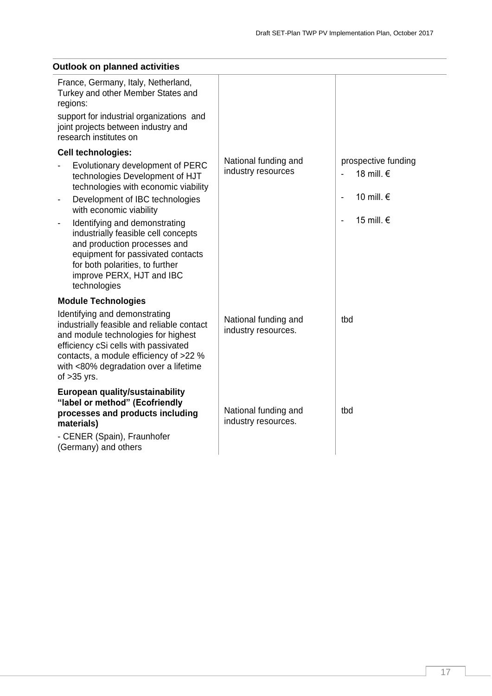| Outlook on planned activities                                                                                                                                                                                                                                  |                                             |                                   |  |
|----------------------------------------------------------------------------------------------------------------------------------------------------------------------------------------------------------------------------------------------------------------|---------------------------------------------|-----------------------------------|--|
| France, Germany, Italy, Netherland,<br>Turkey and other Member States and<br>regions:                                                                                                                                                                          |                                             |                                   |  |
| support for industrial organizations and<br>joint projects between industry and<br>research institutes on                                                                                                                                                      |                                             |                                   |  |
| Cell technologies:                                                                                                                                                                                                                                             |                                             |                                   |  |
| Evolutionary development of PERC<br>technologies Development of HJT<br>technologies with economic viability                                                                                                                                                    | National funding and<br>industry resources  | prospective funding<br>18 mill. € |  |
| Development of IBC technologies<br>with economic viability                                                                                                                                                                                                     |                                             | 10 mill. €                        |  |
| Identifying and demonstrating<br>$\qquad \qquad \blacksquare$<br>industrially feasible cell concepts<br>and production processes and<br>equipment for passivated contacts<br>for both polarities, to further<br>improve PERX, HJT and IBC<br>technologies      |                                             | 15 mill. €                        |  |
| <b>Module Technologies</b>                                                                                                                                                                                                                                     |                                             |                                   |  |
| Identifying and demonstrating<br>industrially feasible and reliable contact<br>and module technologies for highest<br>efficiency cSi cells with passivated<br>contacts, a module efficiency of >22 %<br>with <80% degradation over a lifetime<br>of $>35$ yrs. | National funding and<br>industry resources. | tbd                               |  |
| European quality/sustainability<br>"label or method" (Ecofriendly<br>processes and products including<br>materials)<br>- CENER (Spain), Fraunhofer                                                                                                             | National funding and<br>industry resources. | tbd                               |  |
| (Germany) and others                                                                                                                                                                                                                                           |                                             |                                   |  |

#### **Outlook on planned activities**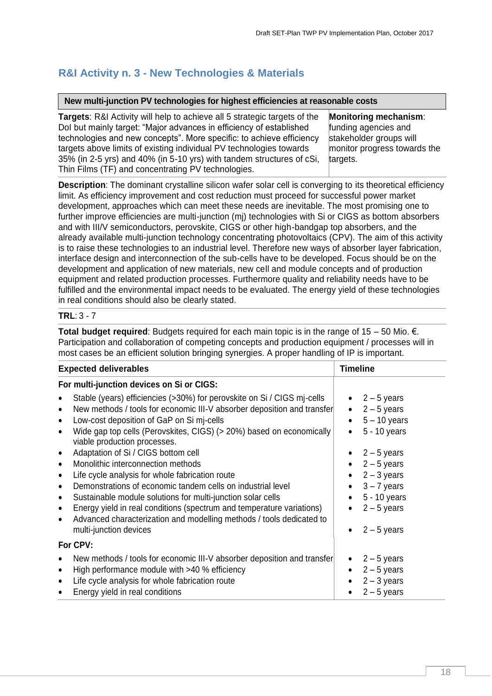## <span id="page-17-0"></span>**R&I Activity n. 3 - New Technologies & Materials**

#### **New multi-junction PV technologies for highest efficiencies at reasonable costs**

**Targets**: R&I Activity will help to achieve all 5 strategic targets of the DoI but mainly target: "Major advances in efficiency of established technologies and new concepts". More specific: to achieve efficiency targets above limits of existing individual PV technologies towards 35% (in 2-5 yrs) and 40% (in 5-10 yrs) with tandem structures of cSi, Thin Films (TF) and concentrating PV technologies. targets.

**Monitoring mechanism**: funding agencies and stakeholder groups will monitor progress towards the

**Description**: The dominant crystalline silicon wafer solar cell is converging to its theoretical efficiency limit. As efficiency improvement and cost reduction must proceed for successful power market development, approaches which can meet these needs are inevitable. The most promising one to further improve efficiencies are multi-junction (mj) technologies with Si or CIGS as bottom absorbers and with III/V semiconductors, perovskite, CIGS or other high-bandgap top absorbers, and the already available multi-junction technology concentrating photovoltaics (CPV). The aim of this activity is to raise these technologies to an industrial level. Therefore new ways of absorber layer fabrication, interface design and interconnection of the sub-cells have to be developed. Focus should be on the development and application of new materials, new cell and module concepts and of production equipment and related production processes. Furthermore quality and reliability needs have to be fulfilled and the environmental impact needs to be evaluated. The energy yield of these technologies in real conditions should also be clearly stated.

#### **TRL**: 3 - 7

**Total budget required**: Budgets required for each main topic is in the range of 15 – 50 Mio. €. Participation and collaboration of competing concepts and production equipment / processes will in most cases be an efficient solution bringing synergies. A proper handling of IP is important.

| <b>Expected deliverables</b>                                                                                                                                                                                                                                                                                                                                                                                                                                    | <b>Timeline</b>                                                                                                    |
|-----------------------------------------------------------------------------------------------------------------------------------------------------------------------------------------------------------------------------------------------------------------------------------------------------------------------------------------------------------------------------------------------------------------------------------------------------------------|--------------------------------------------------------------------------------------------------------------------|
| For multi-junction devices on Si or CIGS:                                                                                                                                                                                                                                                                                                                                                                                                                       |                                                                                                                    |
| Stable (years) efficiencies (>30%) for perovskite on Si / CIGS mj-cells<br>New methods / tools for economic III-V absorber deposition and transfer<br>Low-cost deposition of GaP on Si mj-cells<br>Wide gap top cells (Perovskites, CIGS) (> 20%) based on economically<br>viable production processes.                                                                                                                                                         | $\bullet$ 2 – 5 years<br>$2 - 5$ years<br>$\bullet$<br>$5 - 10$ years<br>5 - 10 years                              |
| Adaptation of Si / CIGS bottom cell<br>Monolithic interconnection methods<br>$\bullet$<br>Life cycle analysis for whole fabrication route<br>Demonstrations of economic tandem cells on industrial level<br>Sustainable module solutions for multi-junction solar cells<br>$\bullet$<br>Energy yield in real conditions (spectrum and temperature variations)<br>Advanced characterization and modelling methods / tools dedicated to<br>multi-junction devices | $2 - 5$ years<br>$2 - 5$ years<br>$2 - 3$ years<br>$3 - 7$ years<br>5 - 10 years<br>$2 - 5$ years<br>$2 - 5$ years |
| For CPV:                                                                                                                                                                                                                                                                                                                                                                                                                                                        |                                                                                                                    |
| New methods / tools for economic III-V absorber deposition and transfer<br>High performance module with >40 % efficiency<br>Life cycle analysis for whole fabrication route<br>$\bullet$<br>Energy yield in real conditions<br>$\bullet$                                                                                                                                                                                                                        | $2 - 5$ years<br>$2 - 5$ years<br>$2 - 3$ years<br>$2 - 5$ years                                                   |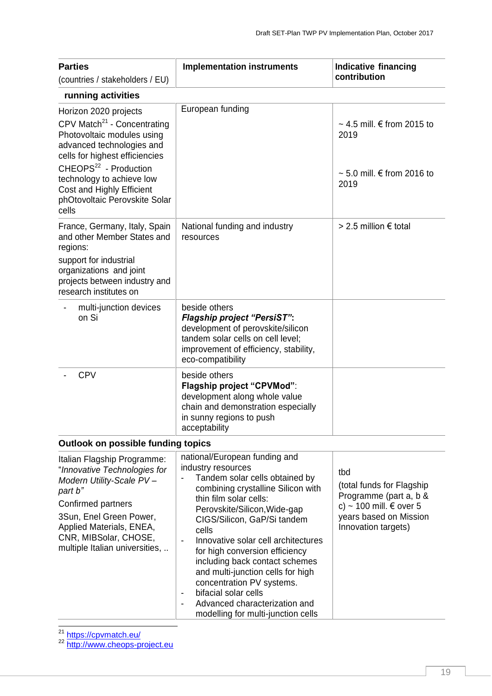| <b>Parties</b><br>(countries / stakeholders / EU)                                                                                                                                                                                                                                                      | <b>Implementation instruments</b>                                                                                                                                                                                                                                                                                                                                                                                                                                                                                                                                 | <b>Indicative financing</b><br>contribution                                                                                            |
|--------------------------------------------------------------------------------------------------------------------------------------------------------------------------------------------------------------------------------------------------------------------------------------------------------|-------------------------------------------------------------------------------------------------------------------------------------------------------------------------------------------------------------------------------------------------------------------------------------------------------------------------------------------------------------------------------------------------------------------------------------------------------------------------------------------------------------------------------------------------------------------|----------------------------------------------------------------------------------------------------------------------------------------|
| running activities                                                                                                                                                                                                                                                                                     |                                                                                                                                                                                                                                                                                                                                                                                                                                                                                                                                                                   |                                                                                                                                        |
| Horizon 2020 projects<br>CPV Match <sup>21</sup> - Concentrating<br>Photovoltaic modules using<br>advanced technologies and<br>cells for highest efficiencies<br>CHEOPS <sup>22</sup> - Production<br>technology to achieve low<br>Cost and Highly Efficient<br>phOtovoltaic Perovskite Solar<br>cells | European funding                                                                                                                                                                                                                                                                                                                                                                                                                                                                                                                                                  | $\sim$ 4.5 mill. $\in$ from 2015 to<br>2019<br>$\sim$ 5.0 mill. $\in$ from 2016 to<br>2019                                             |
| France, Germany, Italy, Spain<br>and other Member States and<br>regions:<br>support for industrial<br>organizations and joint<br>projects between industry and<br>research institutes on                                                                                                               | National funding and industry<br>resources                                                                                                                                                                                                                                                                                                                                                                                                                                                                                                                        | > 2.5 million € total                                                                                                                  |
| multi-junction devices<br>on Si                                                                                                                                                                                                                                                                        | beside others<br><b>Flagship project "PersiST":</b><br>development of perovskite/silicon<br>tandem solar cells on cell level;<br>improvement of efficiency, stability,<br>eco-compatibility                                                                                                                                                                                                                                                                                                                                                                       |                                                                                                                                        |
| <b>CPV</b>                                                                                                                                                                                                                                                                                             | beside others<br>Flagship project "CPVMod":<br>development along whole value<br>chain and demonstration especially<br>in sunny regions to push<br>acceptability                                                                                                                                                                                                                                                                                                                                                                                                   |                                                                                                                                        |
| <b>Outlook on possible funding topics</b>                                                                                                                                                                                                                                                              |                                                                                                                                                                                                                                                                                                                                                                                                                                                                                                                                                                   |                                                                                                                                        |
| Italian Flagship Programme:<br>"Innovative Technologies for<br>Modern Utility-Scale PV-<br>part b"<br>Confirmed partners<br>3Sun, Enel Green Power,<br>Applied Materials, ENEA,<br>CNR, MIBSolar, CHOSE,<br>multiple Italian universities,                                                             | national/European funding and<br>industry resources<br>Tandem solar cells obtained by<br>combining crystalline Silicon with<br>thin film solar cells:<br>Perovskite/Silicon, Wide-gap<br>CIGS/Silicon, GaP/Si tandem<br>cells<br>Innovative solar cell architectures<br>$\overline{\phantom{0}}$<br>for high conversion efficiency<br>including back contact schemes<br>and multi-junction cells for high<br>concentration PV systems.<br>bifacial solar cells<br>$\overline{\phantom{a}}$<br>Advanced characterization and<br>modelling for multi-junction cells | tbd<br>(total funds for Flagship<br>Programme (part a, b &<br>c) ~ 100 mill. € over 5<br>years based on Mission<br>Innovation targets) |

1 <sup>21</sup> <https://cpvmatch.eu/>

<sup>22</sup> [http://www.cheops-project.eu](http://www.cheops-project.eu/)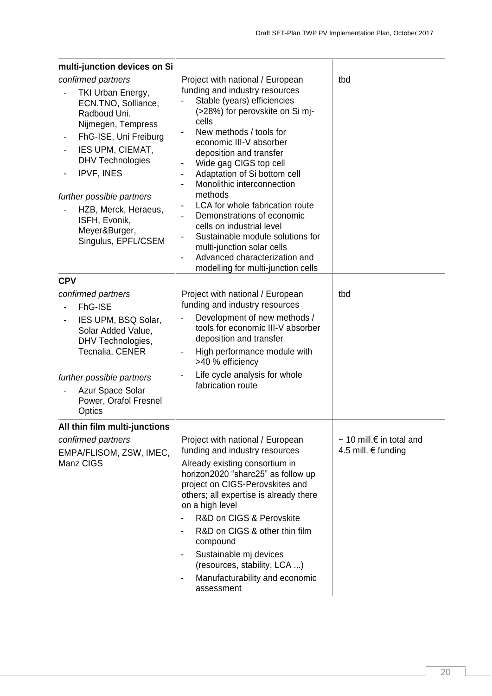| multi-junction devices on Si                                                                                                                                                                                                                                                                                  |                                                                                                                                                                                                                                                                                                                                                                                                                                                                                                                                                                                                                                                                                                                                                |                                                                  |
|---------------------------------------------------------------------------------------------------------------------------------------------------------------------------------------------------------------------------------------------------------------------------------------------------------------|------------------------------------------------------------------------------------------------------------------------------------------------------------------------------------------------------------------------------------------------------------------------------------------------------------------------------------------------------------------------------------------------------------------------------------------------------------------------------------------------------------------------------------------------------------------------------------------------------------------------------------------------------------------------------------------------------------------------------------------------|------------------------------------------------------------------|
| confirmed partners<br>TKI Urban Energy,<br>ECN.TNO, Solliance,<br>Radboud Uni.<br>Nijmegen, Tempress<br>FhG-ISE, Uni Freiburg<br>IES UPM, CIEMAT,<br>-<br><b>DHV Technologies</b><br>IPVF, INES<br>further possible partners<br>HZB, Merck, Heraeus,<br>ISFH, Evonik,<br>Meyer&Burger,<br>Singulus, EPFL/CSEM | Project with national / European<br>funding and industry resources<br>Stable (years) efficiencies<br>(>28%) for perovskite on Si mj-<br>cells<br>New methods / tools for<br>economic III-V absorber<br>deposition and transfer<br>Wide gag CIGS top cell<br>$\overline{\phantom{0}}$<br>Adaptation of Si bottom cell<br>$\qquad \qquad \blacksquare$<br>Monolithic interconnection<br>$\overline{\phantom{a}}$<br>methods<br>LCA for whole fabrication route<br>$\qquad \qquad \blacksquare$<br>Demonstrations of economic<br>$\blacksquare$<br>cells on industrial level<br>Sustainable module solutions for<br>multi-junction solar cells<br>Advanced characterization and<br>$\overline{\phantom{a}}$<br>modelling for multi-junction cells | tbd                                                              |
| <b>CPV</b>                                                                                                                                                                                                                                                                                                    |                                                                                                                                                                                                                                                                                                                                                                                                                                                                                                                                                                                                                                                                                                                                                |                                                                  |
| confirmed partners<br>FhG-ISE<br>IES UPM, BSQ Solar,<br>$\qquad \qquad \blacksquare$<br>Solar Added Value,<br>DHV Technologies,<br>Tecnalia, CENER<br>further possible partners<br>Azur Space Solar<br>Power, Orafol Fresnel<br>Optics                                                                        | Project with national / European<br>funding and industry resources<br>Development of new methods /<br>tools for economic III-V absorber<br>deposition and transfer<br>High performance module with<br>$\qquad \qquad \blacksquare$<br>>40 % efficiency<br>Life cycle analysis for whole<br>$\qquad \qquad \blacksquare$<br>fabrication route                                                                                                                                                                                                                                                                                                                                                                                                   | tbd                                                              |
| All thin film multi-junctions                                                                                                                                                                                                                                                                                 |                                                                                                                                                                                                                                                                                                                                                                                                                                                                                                                                                                                                                                                                                                                                                |                                                                  |
| confirmed partners<br>EMPA/FLISOM, ZSW, IMEC,<br>Manz CIGS                                                                                                                                                                                                                                                    | Project with national / European<br>funding and industry resources<br>Already existing consortium in<br>horizon2020 "sharc25" as follow up<br>project on CIGS-Perovskites and<br>others; all expertise is already there<br>on a high level<br>R&D on CIGS & Perovskite<br>$\overline{\phantom{0}}$<br>R&D on CIGS & other thin film<br>$\qquad \qquad \blacksquare$<br>compound<br>Sustainable mj devices<br>(resources, stability, LCA )<br>Manufacturability and economic<br>$\qquad \qquad \blacksquare$<br>assessment                                                                                                                                                                                                                      | $\sim$ 10 mill. $\epsilon$ in total and<br>4.5 mill. $€$ funding |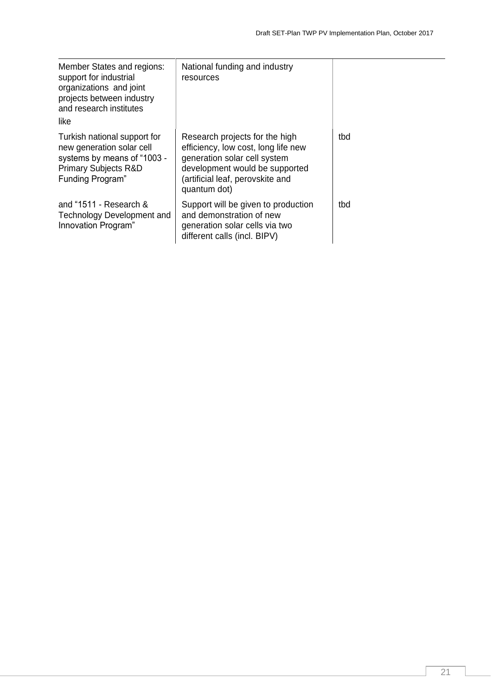| Member States and regions:<br>support for industrial<br>organizations and joint<br>projects between industry<br>and research institutes<br>like         | National funding and industry<br>resources                                                                                                                                                  |     |
|---------------------------------------------------------------------------------------------------------------------------------------------------------|---------------------------------------------------------------------------------------------------------------------------------------------------------------------------------------------|-----|
| Turkish national support for<br>new generation solar cell<br>systems by means of "1003 -<br><b>Primary Subjects R&amp;D</b><br><b>Funding Program</b> " | Research projects for the high<br>efficiency, low cost, long life new<br>generation solar cell system<br>development would be supported<br>(artificial leaf, perovskite and<br>quantum dot) | tbd |
| and $4511 -$ Research &<br>Technology Development and<br>Innovation Program"                                                                            | Support will be given to production<br>and demonstration of new<br>generation solar cells via two<br>different calls (incl. BIPV)                                                           | tbd |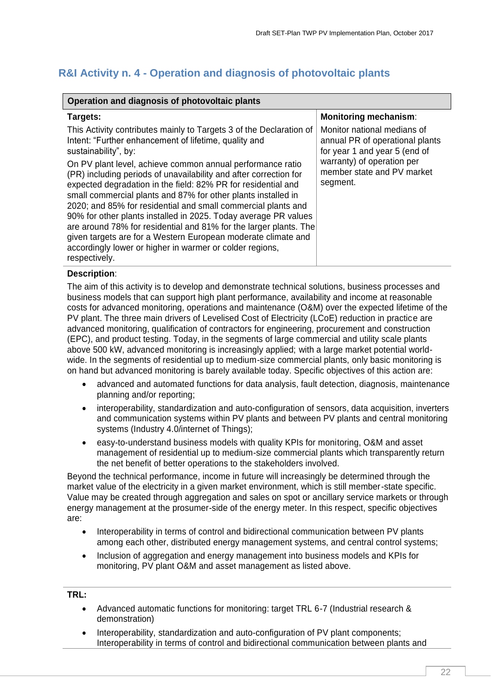## <span id="page-21-0"></span>**R&I Activity n. 4 - Operation and diagnosis of photovoltaic plants**

| Operation and diagnosis of photovoltaic plants                                                                                                                                                                                                                                                                                                                                                                                                                                                                                                                |                                                                                                                                                                         |  |  |  |
|---------------------------------------------------------------------------------------------------------------------------------------------------------------------------------------------------------------------------------------------------------------------------------------------------------------------------------------------------------------------------------------------------------------------------------------------------------------------------------------------------------------------------------------------------------------|-------------------------------------------------------------------------------------------------------------------------------------------------------------------------|--|--|--|
| Targets:                                                                                                                                                                                                                                                                                                                                                                                                                                                                                                                                                      | <b>Monitoring mechanism:</b>                                                                                                                                            |  |  |  |
| This Activity contributes mainly to Targets 3 of the Declaration of<br>Intent: "Further enhancement of lifetime, quality and<br>sustainability", by:<br>On PV plant level, achieve common annual performance ratio<br>(PR) including periods of unavailability and after correction for<br>expected degradation in the field: 82% PR for residential and<br>small commercial plants and 87% for other plants installed in<br>2020; and 85% for residential and small commercial plants and<br>90% for other plants installed in 2025. Today average PR values | Monitor national medians of<br>annual PR of operational plants<br>for year 1 and year 5 (end of<br>warranty) of operation per<br>member state and PV market<br>segment. |  |  |  |
| are around 78% for residential and 81% for the larger plants. The<br>given targets are for a Western European moderate climate and<br>accordingly lower or higher in warmer or colder regions,<br>respectively.                                                                                                                                                                                                                                                                                                                                               |                                                                                                                                                                         |  |  |  |

#### **Description**:

The aim of this activity is to develop and demonstrate technical solutions, business processes and business models that can support high plant performance, availability and income at reasonable costs for advanced monitoring, operations and maintenance (O&M) over the expected lifetime of the PV plant. The three main drivers of Levelised Cost of Electricity (LCoE) reduction in practice are advanced monitoring, qualification of contractors for engineering, procurement and construction (EPC), and product testing. Today, in the segments of large commercial and utility scale plants above 500 kW, advanced monitoring is increasingly applied; with a large market potential worldwide. In the segments of residential up to medium-size commercial plants, only basic monitoring is on hand but advanced monitoring is barely available today. Specific objectives of this action are:

- advanced and automated functions for data analysis, fault detection, diagnosis, maintenance planning and/or reporting;
- interoperability, standardization and auto-configuration of sensors, data acquisition, inverters and communication systems within PV plants and between PV plants and central monitoring systems (Industry 4.0/internet of Things);
- easy-to-understand business models with quality KPIs for monitoring, O&M and asset management of residential up to medium-size commercial plants which transparently return the net benefit of better operations to the stakeholders involved.

Beyond the technical performance, income in future will increasingly be determined through the market value of the electricity in a given market environment, which is still member-state specific. Value may be created through aggregation and sales on spot or ancillary service markets or through energy management at the prosumer-side of the energy meter. In this respect, specific objectives are:

- Interoperability in terms of control and bidirectional communication between PV plants among each other, distributed energy management systems, and central control systems;
- Inclusion of aggregation and energy management into business models and KPIs for monitoring, PV plant O&M and asset management as listed above.

#### **TRL:**

- Advanced automatic functions for monitoring: target TRL 6-7 (Industrial research & demonstration)
- Interoperability, standardization and auto-configuration of PV plant components; Interoperability in terms of control and bidirectional communication between plants and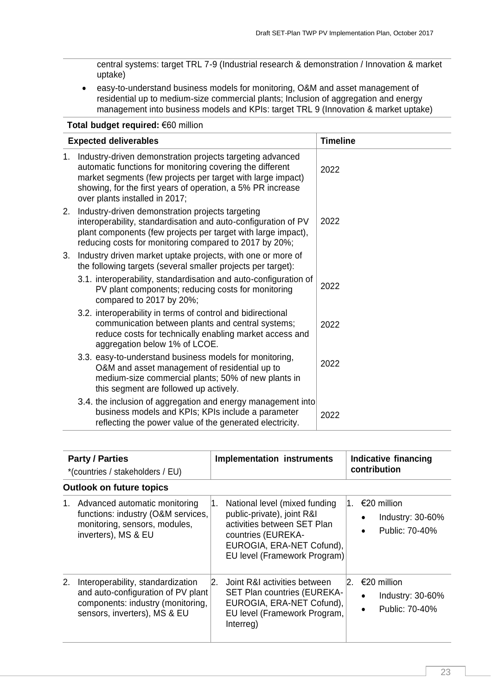central systems: target TRL 7-9 (Industrial research & demonstration / Innovation & market uptake)

 easy-to-understand business models for monitoring, O&M and asset management of residential up to medium-size commercial plants; Inclusion of aggregation and energy management into business models and KPIs: target TRL 9 (Innovation & market uptake)

| Total budget required: €60 million |                                                                                                                                                                                                                                                                                        |                 |  |  |
|------------------------------------|----------------------------------------------------------------------------------------------------------------------------------------------------------------------------------------------------------------------------------------------------------------------------------------|-----------------|--|--|
|                                    | <b>Expected deliverables</b>                                                                                                                                                                                                                                                           | <b>Timeline</b> |  |  |
| 1.                                 | Industry-driven demonstration projects targeting advanced<br>automatic functions for monitoring covering the different<br>market segments (few projects per target with large impact)<br>showing, for the first years of operation, a 5% PR increase<br>over plants installed in 2017; | 2022            |  |  |
| 2.                                 | Industry-driven demonstration projects targeting<br>interoperability, standardisation and auto-configuration of PV<br>plant components (few projects per target with large impact),<br>reducing costs for monitoring compared to 2017 by 20%;                                          | 2022            |  |  |
| 3.                                 | Industry driven market uptake projects, with one or more of<br>the following targets (several smaller projects per target):                                                                                                                                                            |                 |  |  |
|                                    | 3.1. interoperability, standardisation and auto-configuration of<br>PV plant components; reducing costs for monitoring<br>compared to 2017 by 20%;                                                                                                                                     | 2022            |  |  |
|                                    | 3.2. interoperability in terms of control and bidirectional<br>communication between plants and central systems;<br>reduce costs for technically enabling market access and<br>aggregation below 1% of LCOE.                                                                           | 2022            |  |  |
|                                    | 3.3. easy-to-understand business models for monitoring,<br>O&M and asset management of residential up to<br>medium-size commercial plants; 50% of new plants in<br>this segment are followed up actively.                                                                              | 2022            |  |  |
|                                    | 3.4. the inclusion of aggregation and energy management into<br>business models and KPIs; KPIs include a parameter<br>reflecting the power value of the generated electricity.                                                                                                         | 2022            |  |  |

|    | <b>Party / Parties</b><br>*(countries / stakeholders / EU)                                                                                   |    | <b>Implementation instruments</b>                                                                                                                                             | Indicative financing<br>contribution                                 |
|----|----------------------------------------------------------------------------------------------------------------------------------------------|----|-------------------------------------------------------------------------------------------------------------------------------------------------------------------------------|----------------------------------------------------------------------|
|    | <b>Outlook on future topics</b>                                                                                                              |    |                                                                                                                                                                               |                                                                      |
|    | 1. Advanced automatic monitoring<br>functions: industry (O&M services,<br>monitoring, sensors, modules,<br>inverters), MS & EU               | 1. | National level (mixed funding<br>public-private), joint R&I<br>activities between SET Plan<br>countries (EUREKA-<br>EUROGIA, ERA-NET Cofund),<br>EU level (Framework Program) | $1. E20$ million<br>Industry: $30-60\%$<br>Public: 70-40%            |
| 2. | Interoperability, standardization<br>and auto-configuration of PV plant<br>components: industry (monitoring,<br>sensors, inverters), MS & EU | 2. | Joint R&I activities between<br><b>SET Plan countries (EUREKA-</b><br>EUROGIA, ERA-NET Cofund),<br>EU level (Framework Program,<br>Interreg)                                  | 2. €20 million<br>Industry: $30-60\%$<br>Public: 70-40%<br>$\bullet$ |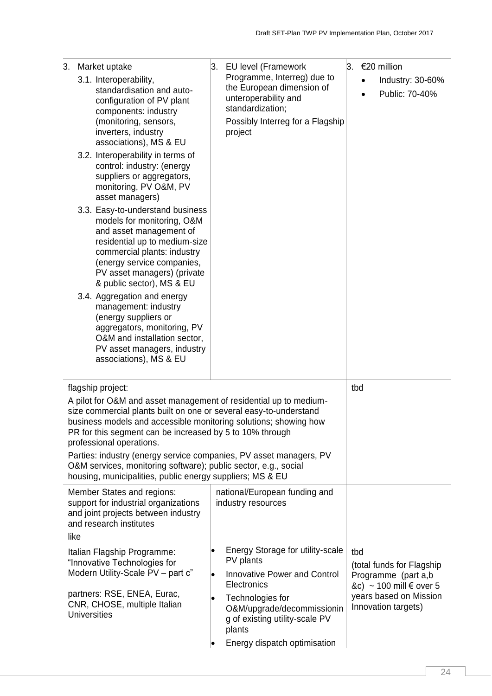| 3.   | Market uptake                                                                                                                                                                                                                                                                                                                                                                                                                                                                                                                 | 3. | <b>EU level (Framework</b>                                                                                                                          |     | $3. €20$ million                                                                     |
|------|-------------------------------------------------------------------------------------------------------------------------------------------------------------------------------------------------------------------------------------------------------------------------------------------------------------------------------------------------------------------------------------------------------------------------------------------------------------------------------------------------------------------------------|----|-----------------------------------------------------------------------------------------------------------------------------------------------------|-----|--------------------------------------------------------------------------------------|
|      | 3.1. Interoperability,<br>standardisation and auto-<br>configuration of PV plant<br>components: industry<br>(monitoring, sensors,<br>inverters, industry<br>associations), MS & EU                                                                                                                                                                                                                                                                                                                                            |    | Programme, Interreg) due to<br>the European dimension of<br>unteroperability and<br>standardization;<br>Possibly Interreg for a Flagship<br>project |     | Industry: 30-60%<br>Public: 70-40%                                                   |
|      | 3.2. Interoperability in terms of<br>control: industry: (energy<br>suppliers or aggregators,<br>monitoring, PV O&M, PV<br>asset managers)                                                                                                                                                                                                                                                                                                                                                                                     |    |                                                                                                                                                     |     |                                                                                      |
|      | 3.3. Easy-to-understand business<br>models for monitoring, O&M<br>and asset management of<br>residential up to medium-size<br>commercial plants: industry<br>(energy service companies,<br>PV asset managers) (private<br>& public sector), MS & EU                                                                                                                                                                                                                                                                           |    |                                                                                                                                                     |     |                                                                                      |
|      | 3.4. Aggregation and energy<br>management: industry<br>(energy suppliers or<br>aggregators, monitoring, PV<br>O&M and installation sector,<br>PV asset managers, industry<br>associations), MS & EU                                                                                                                                                                                                                                                                                                                           |    |                                                                                                                                                     |     |                                                                                      |
|      | flagship project:<br>A pilot for O&M and asset management of residential up to medium-<br>size commercial plants built on one or several easy-to-understand<br>business models and accessible monitoring solutions; showing how<br>PR for this segment can be increased by 5 to 10% through<br>professional operations.<br>Parties: industry (energy service companies, PV asset managers, PV<br>O&M services, monitoring software); public sector, e.g., social<br>housing, municipalities, public energy suppliers; MS & EU |    |                                                                                                                                                     | tbd |                                                                                      |
| like | Member States and regions:<br>support for industrial organizations<br>and joint projects between industry<br>and research institutes                                                                                                                                                                                                                                                                                                                                                                                          |    | national/European funding and<br>industry resources                                                                                                 |     |                                                                                      |
|      | Italian Flagship Programme:<br>"Innovative Technologies for<br>Modern Utility-Scale PV - part c"                                                                                                                                                                                                                                                                                                                                                                                                                              |    | Energy Storage for utility-scale<br>PV plants<br><b>Innovative Power and Control</b><br>Electronics                                                 | tbd | (total funds for Flagship<br>Programme (part a,b<br>&c) ~ 100 mill $\epsilon$ over 5 |
|      | partners: RSE, ENEA, Eurac,<br>CNR, CHOSE, multiple Italian<br><b>Universities</b>                                                                                                                                                                                                                                                                                                                                                                                                                                            |    | Technologies for<br>O&M/upgrade/decommissionin<br>g of existing utility-scale PV<br>plants                                                          |     | years based on Mission<br>Innovation targets)                                        |
|      |                                                                                                                                                                                                                                                                                                                                                                                                                                                                                                                               |    | Energy dispatch optimisation                                                                                                                        |     |                                                                                      |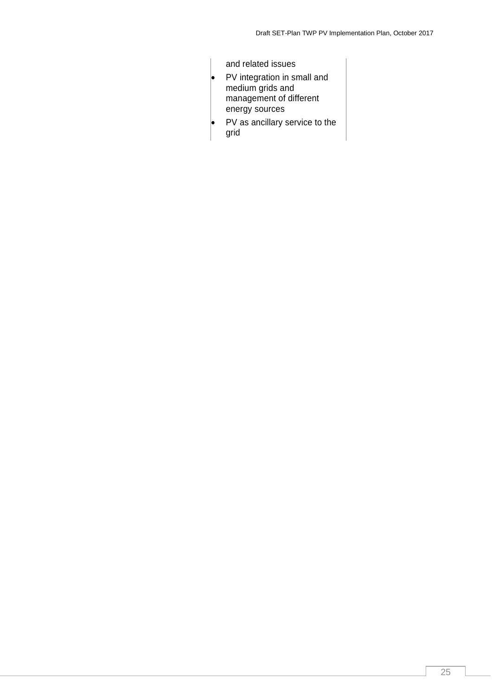and related issues • PV integration in small and medium grids and management of different energy sources PV as ancillary service to the grid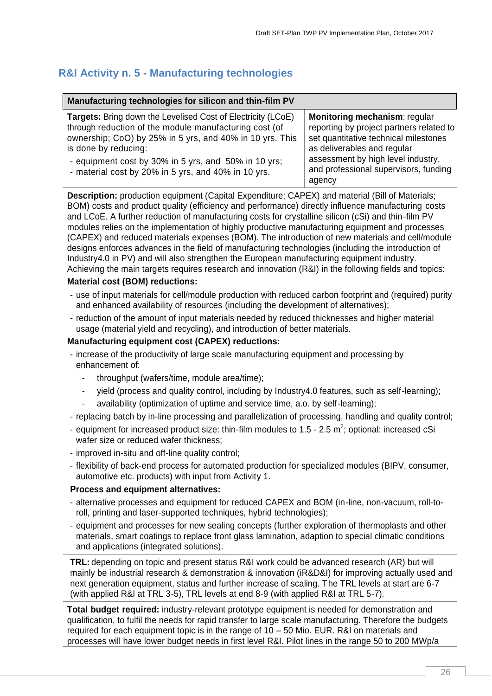## <span id="page-25-0"></span>**R&I Activity n. 5 - Manufacturing technologies**

| Manufacturing technologies for silicon and thin-film PV                                                                                                                                                                                                                                                                          |                                                                                                                                                                                                                                            |
|----------------------------------------------------------------------------------------------------------------------------------------------------------------------------------------------------------------------------------------------------------------------------------------------------------------------------------|--------------------------------------------------------------------------------------------------------------------------------------------------------------------------------------------------------------------------------------------|
| <b>Targets:</b> Bring down the Levelised Cost of Electricity (LCoE)<br>through reduction of the module manufacturing cost (of<br>ownership; CoO) by 25% in 5 yrs, and 40% in 10 yrs. This<br>is done by reducing:<br>- equipment cost by 30% in 5 yrs, and 50% in 10 yrs;<br>- material cost by 20% in 5 yrs, and 40% in 10 yrs. | Monitoring mechanism: regular<br>reporting by project partners related to<br>set quantitative technical milestones<br>as deliverables and regular<br>assessment by high level industry,<br>and professional supervisors, funding<br>agency |

**Description:** production equipment (Capital Expenditure; CAPEX) and material (Bill of Materials; BOM) costs and product quality (efficiency and performance) directly influence manufacturing costs and LCoE. A further reduction of manufacturing costs for crystalline silicon (cSi) and thin-film PV modules relies on the implementation of highly productive manufacturing equipment and processes (CAPEX) and reduced materials expenses (BOM). The introduction of new materials and cell/module designs enforces advances in the field of manufacturing technologies (including the introduction of Industry4.0 in PV) and will also strengthen the European manufacturing equipment industry. Achieving the main targets requires research and innovation (R&I) in the following fields and topics:

#### **Material cost (BOM) reductions:**

- use of input materials for cell/module production with reduced carbon footprint and (required) purity and enhanced availability of resources (including the development of alternatives);
- reduction of the amount of input materials needed by reduced thicknesses and higher material usage (material yield and recycling), and introduction of better materials.

#### **Manufacturing equipment cost (CAPEX) reductions:**

- increase of the productivity of large scale manufacturing equipment and processing by enhancement of:
	- throughput (wafers/time, module area/time);
	- yield (process and quality control, including by Industry4.0 features, such as self-learning);
	- availability (optimization of uptime and service time, a.o. by self-learning);
- replacing batch by in-line processing and parallelization of processing, handling and quality control;
- equipment for increased product size: thin-film modules to 1.5 2.5  $m^2$ ; optional: increased cSi wafer size or reduced wafer thickness;
- improved in-situ and off-line quality control;
- flexibility of back-end process for automated production for specialized modules (BIPV, consumer, automotive etc. products) with input from Activity 1.

#### **Process and equipment alternatives:**

- alternative processes and equipment for reduced CAPEX and BOM (in-line, non-vacuum, roll-toroll, printing and laser-supported techniques, hybrid technologies);
- equipment and processes for new sealing concepts (further exploration of thermoplasts and other materials, smart coatings to replace front glass lamination, adaption to special climatic conditions and applications (integrated solutions).

**TRL:** depending on topic and present status R&I work could be advanced research (AR) but will mainly be industrial research & demonstration & innovation (iR&D&I) for improving actually used and next generation equipment, status and further increase of scaling. The TRL levels at start are 6-7 (with applied R&I at TRL 3-5), TRL levels at end 8-9 (with applied R&I at TRL 5-7).

**Total budget required:** industry-relevant prototype equipment is needed for demonstration and qualification, to fulfil the needs for rapid transfer to large scale manufacturing. Therefore the budgets required for each equipment topic is in the range of  $10 - 50$  Mio. EUR. R&I on materials and processes will have lower budget needs in first level R&I. Pilot lines in the range 50 to 200 MWp/a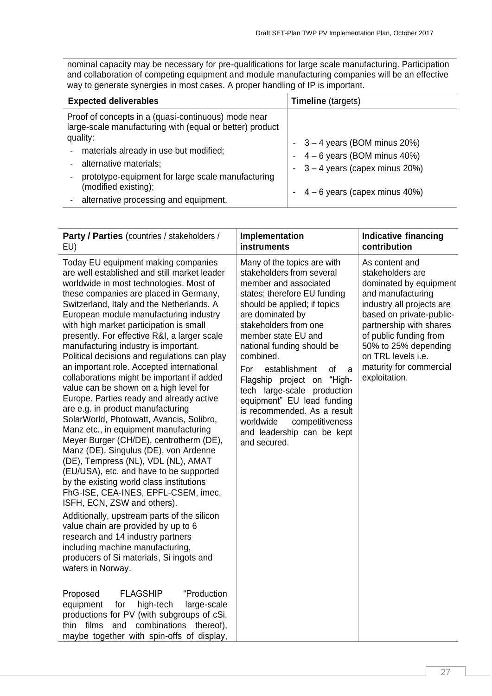nominal capacity may be necessary for pre-qualifications for large scale manufacturing. Participation and collaboration of competing equipment and module manufacturing companies will be an effective way to generate synergies in most cases. A proper handling of IP is important.

| <b>Expected deliverables</b>                                                                                                                                                                                                                                                                                                                                   | <b>Timeline</b> (targets)                                                                                                           |  |  |
|----------------------------------------------------------------------------------------------------------------------------------------------------------------------------------------------------------------------------------------------------------------------------------------------------------------------------------------------------------------|-------------------------------------------------------------------------------------------------------------------------------------|--|--|
| Proof of concepts in a (quasi-continuous) mode near<br>large-scale manufacturing with (equal or better) product<br>quality:<br>materials already in use but modified;<br>$\blacksquare$<br>alternative materials;<br>$\blacksquare$<br>prototype-equipment for large scale manufacturing<br>(modified existing);<br>alternative processing and equipment.<br>- | $-3-4$ years (BOM minus 20%)<br>- $4-6$ years (BOM minus 40%)<br>$-3 - 4$ years (capex minus 20%)<br>$-4-6$ years (capex minus 40%) |  |  |

| Party / Parties (countries / stakeholders /                                                                                                                                                                                                                                                                                                                                                                                                                                                                                                                                                                                                                                                                                                                                                                                                                                                                                                                                                                                                                                                                                                                                                                                                                                                                                                                                                                                                                                                                                      | Implementation                                                                                                                                                                                                                                                                                                                                                                                                                                                                                                        | <b>Indicative financing</b>                                                                                                                                                                                                                                                               |
|----------------------------------------------------------------------------------------------------------------------------------------------------------------------------------------------------------------------------------------------------------------------------------------------------------------------------------------------------------------------------------------------------------------------------------------------------------------------------------------------------------------------------------------------------------------------------------------------------------------------------------------------------------------------------------------------------------------------------------------------------------------------------------------------------------------------------------------------------------------------------------------------------------------------------------------------------------------------------------------------------------------------------------------------------------------------------------------------------------------------------------------------------------------------------------------------------------------------------------------------------------------------------------------------------------------------------------------------------------------------------------------------------------------------------------------------------------------------------------------------------------------------------------|-----------------------------------------------------------------------------------------------------------------------------------------------------------------------------------------------------------------------------------------------------------------------------------------------------------------------------------------------------------------------------------------------------------------------------------------------------------------------------------------------------------------------|-------------------------------------------------------------------------------------------------------------------------------------------------------------------------------------------------------------------------------------------------------------------------------------------|
| EU)                                                                                                                                                                                                                                                                                                                                                                                                                                                                                                                                                                                                                                                                                                                                                                                                                                                                                                                                                                                                                                                                                                                                                                                                                                                                                                                                                                                                                                                                                                                              | instruments                                                                                                                                                                                                                                                                                                                                                                                                                                                                                                           | contribution                                                                                                                                                                                                                                                                              |
| Today EU equipment making companies<br>are well established and still market leader<br>worldwide in most technologies. Most of<br>these companies are placed in Germany,<br>Switzerland, Italy and the Netherlands. A<br>European module manufacturing industry<br>with high market participation is small<br>presently. For effective R&I, a larger scale<br>manufacturing industry is important.<br>Political decisions and regulations can play<br>an important role. Accepted international<br>collaborations might be important if added<br>value can be shown on a high level for<br>Europe. Parties ready and already active<br>are e.g. in product manufacturing<br>SolarWorld, Photowatt, Avancis, Solibro,<br>Manz etc., in equipment manufacturing<br>Meyer Burger (CH/DE), centrotherm (DE),<br>Manz (DE), Singulus (DE), von Ardenne<br>(DE), Tempress (NL), VDL (NL), AMAT<br>(EU/USA), etc. and have to be supported<br>by the existing world class institutions<br>FhG-ISE, CEA-INES, EPFL-CSEM, imec,<br>ISFH, ECN, ZSW and others).<br>Additionally, upstream parts of the silicon<br>value chain are provided by up to 6<br>research and 14 industry partners<br>including machine manufacturing,<br>producers of Si materials, Si ingots and<br>wafers in Norway.<br><b>FLAGSHIP</b><br>"Production<br>Proposed<br>large-scale<br>equipment<br>for<br>high-tech<br>productions for PV (with subgroups of cSi,<br>films<br>combinations thereof),<br>thin<br>and<br>maybe together with spin-offs of display, | Many of the topics are with<br>stakeholders from several<br>member and associated<br>states; therefore EU funding<br>should be applied; if topics<br>are dominated by<br>stakeholders from one<br>member state EU and<br>national funding should be<br>combined.<br>For<br>establishment<br><b>of</b><br>a<br>"High-<br>Flagship project on<br>tech large-scale production<br>equipment" EU lead funding<br>is recommended. As a result<br>worldwide<br>competitiveness<br>and leadership can be kept<br>and secured. | As content and<br>stakeholders are<br>dominated by equipment<br>and manufacturing<br>industry all projects are<br>based on private-public-<br>partnership with shares<br>of public funding from<br>50% to 25% depending<br>on TRL levels i.e.<br>maturity for commercial<br>exploitation. |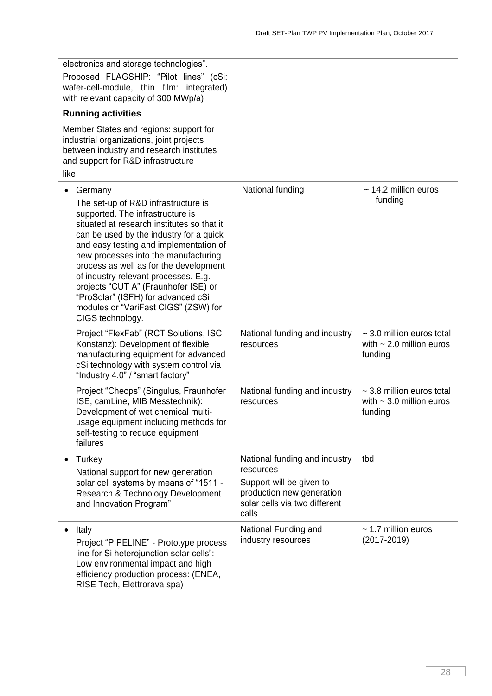| electronics and storage technologies".<br>Proposed FLAGSHIP: "Pilot lines" (cSi:<br>wafer-cell-module, thin film: integrated)<br>with relevant capacity of 300 MWp/a)                                                                                                                                                                                                                                                                                                                     |                                                                                                                                               |                                                                            |
|-------------------------------------------------------------------------------------------------------------------------------------------------------------------------------------------------------------------------------------------------------------------------------------------------------------------------------------------------------------------------------------------------------------------------------------------------------------------------------------------|-----------------------------------------------------------------------------------------------------------------------------------------------|----------------------------------------------------------------------------|
| <b>Running activities</b>                                                                                                                                                                                                                                                                                                                                                                                                                                                                 |                                                                                                                                               |                                                                            |
| Member States and regions: support for<br>industrial organizations, joint projects<br>between industry and research institutes<br>and support for R&D infrastructure<br>like                                                                                                                                                                                                                                                                                                              |                                                                                                                                               |                                                                            |
| Germany<br>The set-up of R&D infrastructure is<br>supported. The infrastructure is<br>situated at research institutes so that it<br>can be used by the industry for a quick<br>and easy testing and implementation of<br>new processes into the manufacturing<br>process as well as for the development<br>of industry relevant processes. E.g.<br>projects "CUT A" (Fraunhofer ISE) or<br>"ProSolar" (ISFH) for advanced cSi<br>modules or "VariFast CIGS" (ZSW) for<br>CIGS technology. | National funding                                                                                                                              | $\sim$ 14.2 million euros<br>funding                                       |
| Project "FlexFab" (RCT Solutions, ISC<br>Konstanz): Development of flexible<br>manufacturing equipment for advanced<br>cSi technology with system control via<br>"Industry 4.0" / "smart factory"                                                                                                                                                                                                                                                                                         | National funding and industry<br>resources                                                                                                    | $\sim$ 3.0 million euros total<br>with $\sim$ 2.0 million euros<br>funding |
| Project "Cheops" (Singulus, Fraunhofer<br>ISE, camLine, MIB Messtechnik):<br>Development of wet chemical multi-<br>usage equipment including methods for<br>self-testing to reduce equipment<br>failures                                                                                                                                                                                                                                                                                  | National funding and industry<br>resources                                                                                                    | $\sim$ 3.8 million euros total<br>with $\sim$ 3.0 million euros<br>funding |
| Turkey<br>National support for new generation<br>solar cell systems by means of "1511 -<br>Research & Technology Development<br>and Innovation Program"                                                                                                                                                                                                                                                                                                                                   | National funding and industry<br>resources<br>Support will be given to<br>production new generation<br>solar cells via two different<br>calls | tbd                                                                        |
| Italy<br>Project "PIPELINE" - Prototype process<br>line for Si heterojunction solar cells":<br>Low environmental impact and high<br>efficiency production process: (ENEA,<br>RISE Tech, Elettrorava spa)                                                                                                                                                                                                                                                                                  | National Funding and<br>industry resources                                                                                                    | $\sim$ 1.7 million euros<br>$(2017 - 2019)$                                |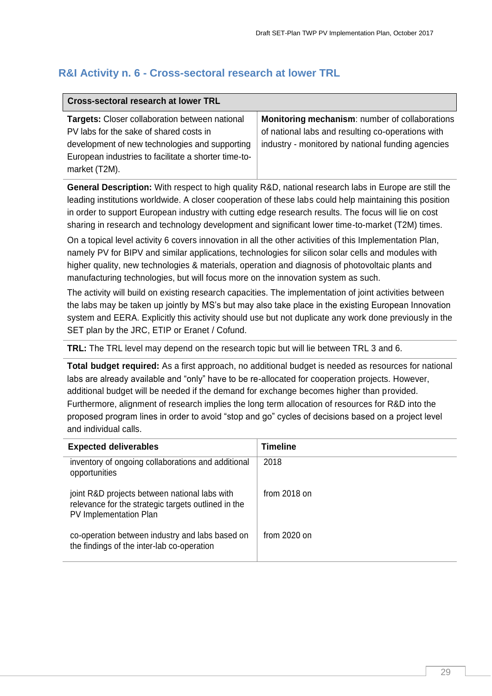## <span id="page-28-0"></span>**R&I Activity n. 6 - Cross-sectoral research at lower TRL**

| Cross-sectoral research at lower TRL                                                                                                                                                                                        |                                                                                                                                                          |  |  |
|-----------------------------------------------------------------------------------------------------------------------------------------------------------------------------------------------------------------------------|----------------------------------------------------------------------------------------------------------------------------------------------------------|--|--|
| <b>Targets:</b> Closer collaboration between national<br>PV labs for the sake of shared costs in<br>development of new technologies and supporting<br>European industries to facilitate a shorter time-to-<br>market (T2M). | Monitoring mechanism: number of collaborations<br>of national labs and resulting co-operations with<br>industry - monitored by national funding agencies |  |  |

**General Description:** With respect to high quality R&D, national research labs in Europe are still the leading institutions worldwide. A closer cooperation of these labs could help maintaining this position in order to support European industry with cutting edge research results. The focus will lie on cost sharing in research and technology development and significant lower time-to-market (T2M) times.

On a topical level activity 6 covers innovation in all the other activities of this Implementation Plan, namely PV for BIPV and similar applications, technologies for silicon solar cells and modules with higher quality, new technologies & materials, operation and diagnosis of photovoltaic plants and manufacturing technologies, but will focus more on the innovation system as such.

The activity will build on existing research capacities. The implementation of joint activities between the labs may be taken up jointly by MS's but may also take place in the existing European Innovation system and EERA. Explicitly this activity should use but not duplicate any work done previously in the SET plan by the JRC, ETIP or Eranet / Cofund.

**TRL:** The TRL level may depend on the research topic but will lie between TRL 3 and 6.

**Total budget required:** As a first approach, no additional budget is needed as resources for national labs are already available and "only" have to be re-allocated for cooperation projects. However, additional budget will be needed if the demand for exchange becomes higher than provided. Furthermore, alignment of research implies the long term allocation of resources for R&D into the proposed program lines in order to avoid "stop and go" cycles of decisions based on a project level and individual calls.

| <b>Expected deliverables</b>                                                                                                   | Timeline       |
|--------------------------------------------------------------------------------------------------------------------------------|----------------|
| inventory of ongoing collaborations and additional<br>opportunities                                                            | 2018           |
| joint R&D projects between national labs with<br>relevance for the strategic targets outlined in the<br>PV Implementation Plan | from $2018$ on |
| co-operation between industry and labs based on<br>the findings of the inter-lab co-operation                                  | from $2020$ on |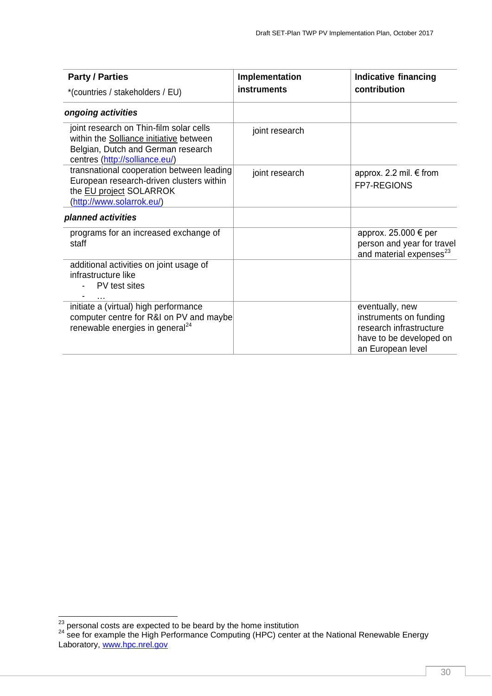| <b>Party / Parties</b>                                                                                                                                     | Implementation     | <b>Indicative financing</b>                                                                                          |
|------------------------------------------------------------------------------------------------------------------------------------------------------------|--------------------|----------------------------------------------------------------------------------------------------------------------|
| *(countries / stakeholders / EU)                                                                                                                           | <b>instruments</b> | contribution                                                                                                         |
| ongoing activities                                                                                                                                         |                    |                                                                                                                      |
| joint research on Thin-film solar cells<br>within the Solliance initiative between<br>Belgian, Dutch and German research<br>centres (http://solliance.eu/) | joint research     |                                                                                                                      |
| transnational cooperation between leading<br>European research-driven clusters within<br>the EU project SOLARROK<br>(http://www.solarrok.eu/)              | joint research     | approx. 2.2 mil. € from<br><b>FP7-REGIONS</b>                                                                        |
| planned activities                                                                                                                                         |                    |                                                                                                                      |
| programs for an increased exchange of<br>staff                                                                                                             |                    | approx. 25.000 € per<br>person and year for travel<br>and material expenses <sup>23</sup>                            |
| additional activities on joint usage of<br>infrastructure like<br>PV test sites                                                                            |                    |                                                                                                                      |
| initiate a (virtual) high performance<br>computer centre for R&I on PV and maybe<br>renewable energies in general $^{24}$                                  |                    | eventually, new<br>instruments on funding<br>research infrastructure<br>have to be developed on<br>an European level |

1

 $^{23}$  personal costs are expected to be beard by the home institution

 $24$  see for example the High Performance Computing (HPC) center at the National Renewable Energy Laboratory, [www.hpc.nrel.gov](http://www.hpc.nrel.gov/)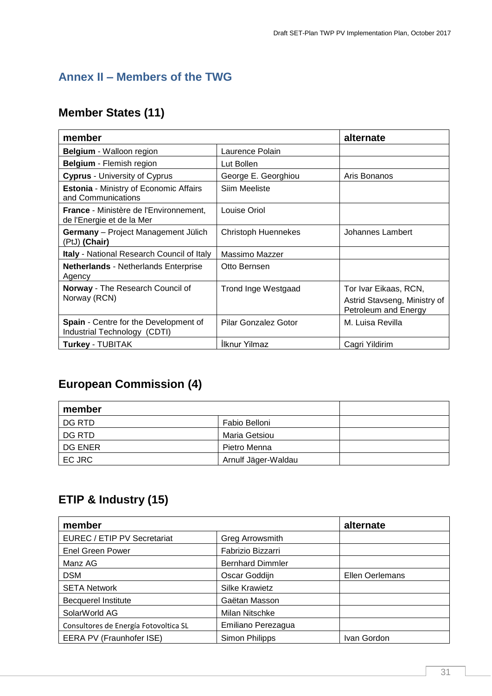# <span id="page-30-0"></span>**Annex II – Members of the TWG**

# **Member States (11)**

| member                                                                     |                             | alternate                                                                     |
|----------------------------------------------------------------------------|-----------------------------|-------------------------------------------------------------------------------|
| <b>Belgium</b> - Walloon region                                            | Laurence Polain             |                                                                               |
| <b>Belgium</b> - Flemish region                                            | Lut Bollen                  |                                                                               |
| <b>Cyprus - University of Cyprus</b>                                       | George E. Georghiou         | Aris Bonanos                                                                  |
| <b>Estonia - Ministry of Economic Affairs</b><br>and Communications        | Siim Meeliste               |                                                                               |
| <b>France</b> - Ministère de l'Environnement,<br>de l'Energie et de la Mer | Louise Oriol                |                                                                               |
| Germany - Project Management Jülich<br>(PtJ) (Chair)                       | <b>Christoph Huennekes</b>  | Johannes Lambert                                                              |
| Italy - National Research Council of Italy                                 | Massimo Mazzer              |                                                                               |
| <b>Netherlands - Netherlands Enterprise</b><br>Agency                      | Otto Bernsen                |                                                                               |
| Norway - The Research Council of<br>Norway (RCN)                           | <b>Trond Inge Westgaad</b>  | Tor Ivar Eikaas, RCN,<br>Astrid Stavseng, Ministry of<br>Petroleum and Energy |
| Spain - Centre for the Development of<br>Industrial Technology (CDTI)      | <b>Pilar Gonzalez Gotor</b> | M. Luisa Revilla                                                              |
| <b>Turkey - TUBITAK</b>                                                    | <b>Ilknur Yilmaz</b>        | Cagri Yildirim                                                                |

# **European Commission (4)**

| member  |                     |  |
|---------|---------------------|--|
| DG RTD  | Fabio Belloni       |  |
| DG RTD  | Maria Getsiou       |  |
| DG ENER | Pietro Menna        |  |
| EC JRC  | Arnulf Jäger-Waldau |  |

# **ETIP & Industry (15)**

| member                                |                         | alternate       |
|---------------------------------------|-------------------------|-----------------|
| EUREC / ETIP PV Secretariat           | Greg Arrowsmith         |                 |
| <b>Enel Green Power</b>               | Fabrizio Bizzarri       |                 |
| Manz AG                               | <b>Bernhard Dimmler</b> |                 |
| <b>DSM</b>                            | Oscar Goddijn           | Ellen Oerlemans |
| <b>SETA Network</b>                   | <b>Silke Krawietz</b>   |                 |
| <b>Becquerel Institute</b>            | Gaëtan Masson           |                 |
| SolarWorld AG                         | Milan Nitschke          |                 |
| Consultores de Energía Fotovoltica SL | Emiliano Perezagua      |                 |
| EERA PV (Fraunhofer ISE)              | Simon Philipps          | Ivan Gordon     |